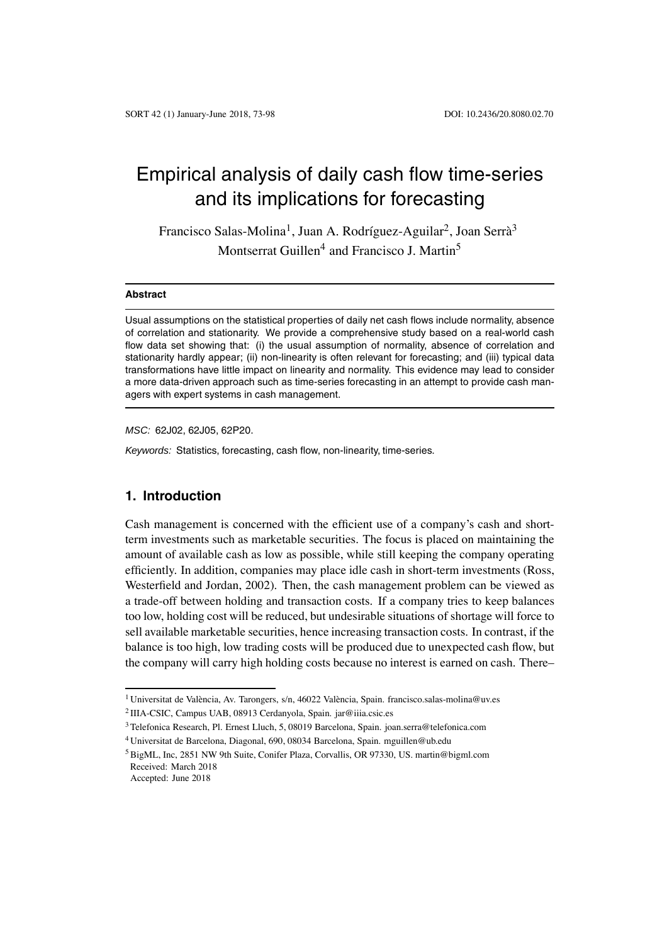# Empirical analysis of daily cash flow time-series and its implications for forecasting

Francisco Salas-Molina<sup>1</sup>, Juan A. Rodríguez-Aguilar<sup>2</sup>, Joan Serrà<sup>3</sup> Montserrat Guillen<sup>4</sup> and Francisco J. Martin<sup>5</sup>

#### **Abstract**

Usual assumptions on the statistical properties of daily net cash flows include normality, absence of correlation and stationarity. We provide a comprehensive study based on a real-world cash flow data set showing that: (i) the usual assumption of normality, absence of correlation and stationarity hardly appear; (ii) non-linearity is often relevant for forecasting; and (iii) typical data transformations have little impact on linearity and normality. This evidence may lead to consider a more data-driven approach such as time-series forecasting in an attempt to provide cash managers with expert systems in cash management.

*MSC:* 62J02, 62J05, 62P20.

*Keywords:* Statistics, forecasting, cash flow, non-linearity, time-series.

# **1. Introduction**

Cash management is concerned with the efficient use of a company's cash and shortterm investments such as marketable securities. The focus is placed on maintaining the amount of available cash as low as possible, while still keeping the company operating efficiently. In addition, companies may place idle cash in short-term investments (Ross, Westerfield and Jordan, 2002). Then, the cash management problem can be viewed as a trade-off between holding and transaction costs. If a company tries to keep balances too low, holding cost will be reduced, but undesirable situations of shortage will force to sell available marketable securities, hence increasing transaction costs. In contrast, if the balance is too high, low trading costs will be produced due to unexpected cash flow, but the company will carry high holding costs because no interest is earned on cash. There–

<sup>&</sup>lt;sup>1</sup> Universitat de València, Av. Tarongers, s/n, 46022 València, Spain. francisco.salas-molina@uv.es

<sup>2</sup> IIIA-CSIC, Campus UAB, 08913 Cerdanyola, Spain. jar@iiia.csic.es

<sup>3</sup> Telefonica Research, Pl. Ernest Lluch, 5, 08019 Barcelona, Spain. joan.serra@telefonica.com

<sup>4</sup> Universitat de Barcelona, Diagonal, 690, 08034 Barcelona, Spain. mguillen@ub.edu

<sup>5</sup> BigML, Inc, 2851 NW 9th Suite, Conifer Plaza, Corvallis, OR 97330, US. martin@bigml.com Received: March 2018 Accepted: June 2018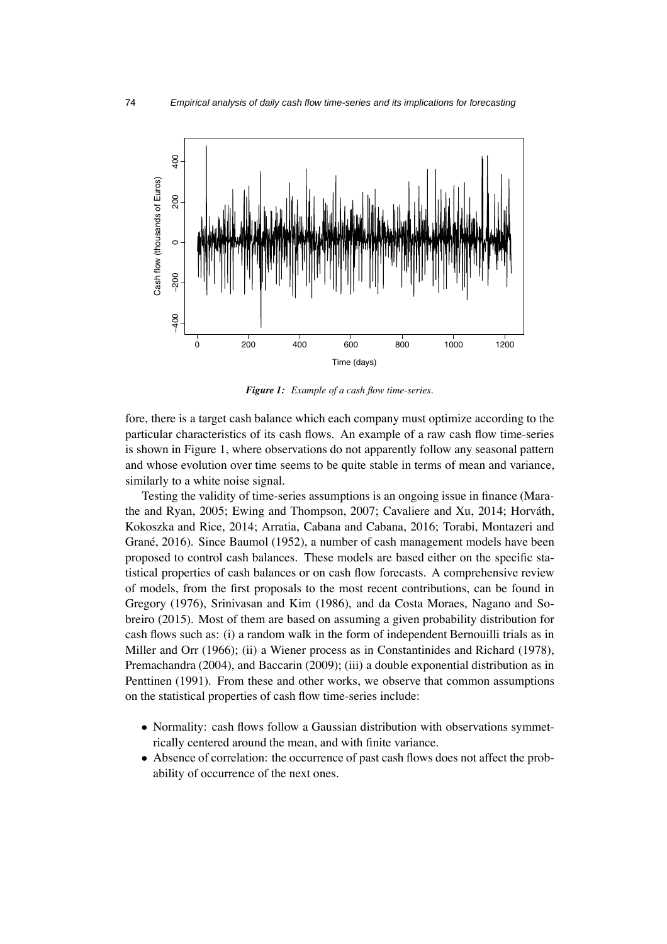

*Figure 1: Example of a cash flow time-series.*

fore, there is a target cash balance which each company must optimize according to the particular characteristics of its cash flows. An example of a raw cash flow time-series is shown in Figure 1, where observations do not apparently follow any seasonal pattern and whose evolution over time seems to be quite stable in terms of mean and variance, similarly to a white noise signal.

Testing the validity of time-series assumptions is an ongoing issue in finance (Marathe and Ryan,  $2005$ ; Ewing and Thompson,  $2007$ ; Cavaliere and Xu,  $2014$ ; Horváth, Kokoszka and Rice, 2014; Arratia, Cabana and Cabana, 2016; Torabi, Montazeri and Grané, 2016). Since Baumol (1952), a number of cash management models have been proposed to control cash balances. These models are based either on the specific statistical properties of cash balances or on cash flow forecasts. A comprehensive review of models, from the first proposals to the most recent contributions, can be found in Gregory (1976), Srinivasan and Kim (1986), and da Costa Moraes, Nagano and Sobreiro (2015). Most of them are based on assuming a given probability distribution for cash flows such as: (i) a random walk in the form of independent Bernouilli trials as in Miller and Orr (1966); (ii) a Wiener process as in Constantinides and Richard (1978), Premachandra (2004), and Baccarin (2009); (iii) a double exponential distribution as in Penttinen (1991). From these and other works, we observe that common assumptions on the statistical properties of cash flow time-series include:

- Normality: cash flows follow a Gaussian distribution with observations symmetrically centered around the mean, and with finite variance.
- Absence of correlation: the occurrence of past cash flows does not affect the probability of occurrence of the next ones.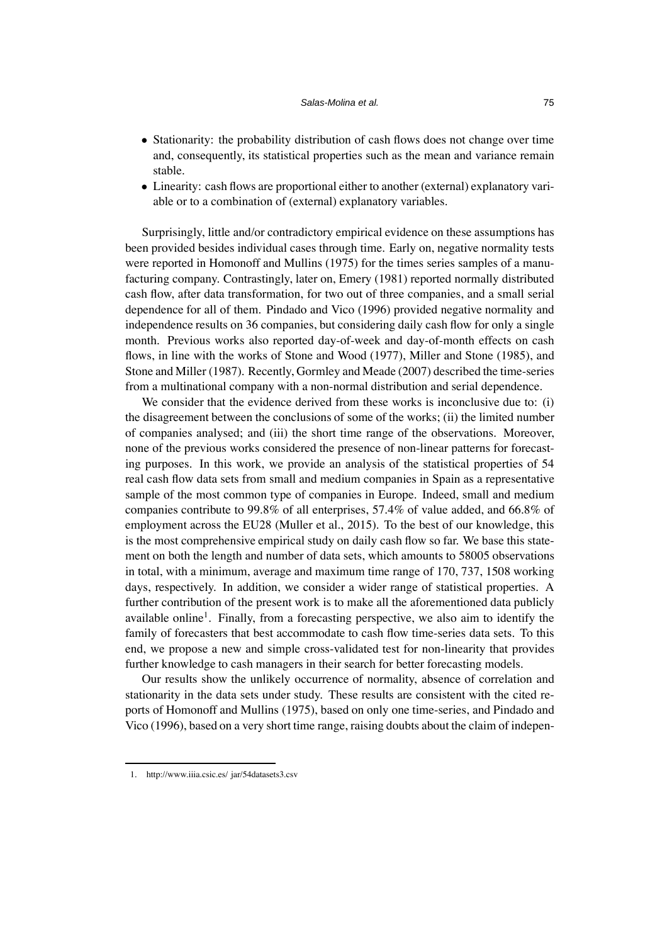- Stationarity: the probability distribution of cash flows does not change over time and, consequently, its statistical properties such as the mean and variance remain stable.
- Linearity: cash flows are proportional either to another (external) explanatory variable or to a combination of (external) explanatory variables.

Surprisingly, little and/or contradictory empirical evidence on these assumptions has been provided besides individual cases through time. Early on, negative normality tests were reported in Homonoff and Mullins (1975) for the times series samples of a manufacturing company. Contrastingly, later on, Emery (1981) reported normally distributed cash flow, after data transformation, for two out of three companies, and a small serial dependence for all of them. Pindado and Vico (1996) provided negative normality and independence results on 36 companies, but considering daily cash flow for only a single month. Previous works also reported day-of-week and day-of-month effects on cash flows, in line with the works of Stone and Wood (1977), Miller and Stone (1985), and Stone and Miller (1987). Recently, Gormley and Meade (2007) described the time-series from a multinational company with a non-normal distribution and serial dependence.

We consider that the evidence derived from these works is inconclusive due to: (i) the disagreement between the conclusions of some of the works; (ii) the limited number of companies analysed; and (iii) the short time range of the observations. Moreover, none of the previous works considered the presence of non-linear patterns for forecasting purposes. In this work, we provide an analysis of the statistical properties of 54 real cash flow data sets from small and medium companies in Spain as a representative sample of the most common type of companies in Europe. Indeed, small and medium companies contribute to 99.8% of all enterprises, 57.4% of value added, and 66.8% of employment across the EU28 (Muller et al., 2015). To the best of our knowledge, this is the most comprehensive empirical study on daily cash flow so far. We base this statement on both the length and number of data sets, which amounts to 58005 observations in total, with a minimum, average and maximum time range of 170, 737, 1508 working days, respectively. In addition, we consider a wider range of statistical properties. A further contribution of the present work is to make all the aforementioned data publicly available online<sup>1</sup>. Finally, from a forecasting perspective, we also aim to identify the family of forecasters that best accommodate to cash flow time-series data sets. To this end, we propose a new and simple cross-validated test for non-linearity that provides further knowledge to cash managers in their search for better forecasting models.

Our results show the unlikely occurrence of normality, absence of correlation and stationarity in the data sets under study. These results are consistent with the cited reports of Homonoff and Mullins (1975), based on only one time-series, and Pindado and Vico (1996), based on a very short time range, raising doubts about the claim of indepen-

<sup>1.</sup> [http://www.iiia.csic.es/ jar/54datasets3.csv](http://www.iiia.csic.es/~jar/54datasets3.csv)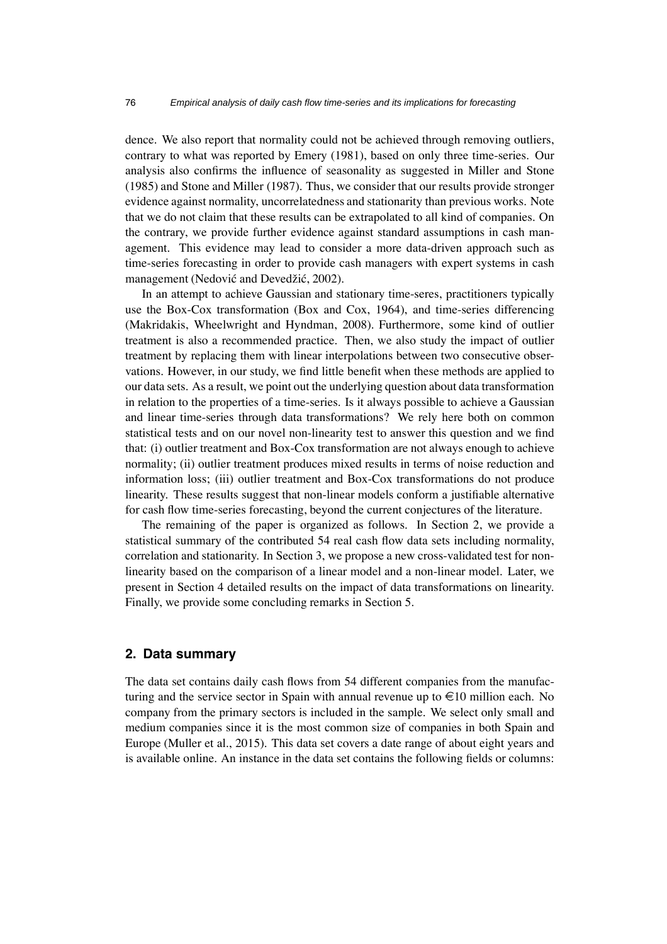dence. We also report that normality could not be achieved through removing outliers, contrary to what was reported by Emery (1981), based on only three time-series. Our analysis also confirms the influence of seasonality as suggested in Miller and Stone (1985) and Stone and Miller (1987). Thus, we consider that our results provide stronger evidence against normality, uncorrelatedness and stationarity than previous works. Note that we do not claim that these results can be extrapolated to all kind of companies. On the contrary, we provide further evidence against standard assumptions in cash management. This evidence may lead to consider a more data-driven approach such as time-series forecasting in order to provide cash managers with expert systems in cash management (Nedović and Devedžić, 2002).

In an attempt to achieve Gaussian and stationary time-seres, practitioners typically use the Box-Cox transformation (Box and Cox, 1964), and time-series differencing (Makridakis, Wheelwright and Hyndman, 2008). Furthermore, some kind of outlier treatment is also a recommended practice. Then, we also study the impact of outlier treatment by replacing them with linear interpolations between two consecutive observations. However, in our study, we find little benefit when these methods are applied to our data sets. As a result, we point out the underlying question about data transformation in relation to the properties of a time-series. Is it always possible to achieve a Gaussian and linear time-series through data transformations? We rely here both on common statistical tests and on our novel non-linearity test to answer this question and we find that: (i) outlier treatment and Box-Cox transformation are not always enough to achieve normality; (ii) outlier treatment produces mixed results in terms of noise reduction and information loss; (iii) outlier treatment and Box-Cox transformations do not produce linearity. These results suggest that non-linear models conform a justifiable alternative for cash flow time-series forecasting, beyond the current conjectures of the literature.

The remaining of the paper is organized as follows. In Section 2, we provide a statistical summary of the contributed 54 real cash flow data sets including normality, correlation and stationarity. In Section 3, we propose a new cross-validated test for nonlinearity based on the comparison of a linear model and a non-linear model. Later, we present in Section 4 detailed results on the impact of data transformations on linearity. Finally, we provide some concluding remarks in Section 5.

### **2. Data summary**

The data set contains daily cash flows from 54 different companies from the manufacturing and the service sector in Spain with annual revenue up to  $\in$ 10 million each. No company from the primary sectors is included in the sample. We select only small and medium companies since it is the most common size of companies in both Spain and Europe (Muller et al., 2015). This data set covers a date range of about eight years and is available online. An instance in the data set contains the following fields or columns: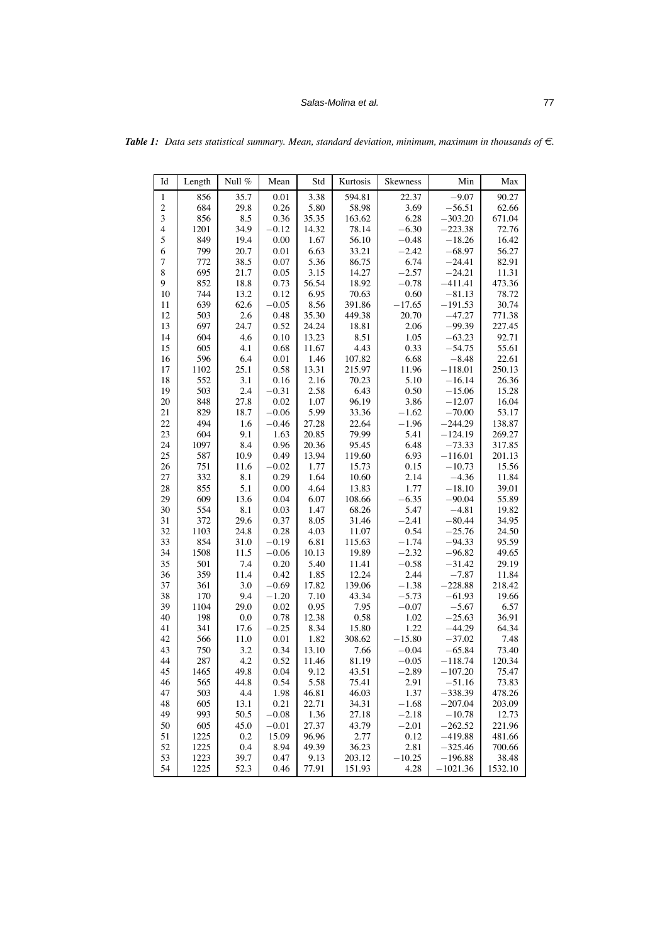### **Salas-Molina et al.** 77

| Id               | Length     | Null %  | Mean     | Std           | Kurtosis | Skewness | Min        | Max             |
|------------------|------------|---------|----------|---------------|----------|----------|------------|-----------------|
| $\mathbf{1}$     | 856        | 35.7    | $0.01\,$ | 3.38          | 594.81   | 22.37    | $-9.07$    | 90.27           |
| $\overline{c}$   | 684        | 29.8    | 0.26     | 5.80          | 58.98    | 3.69     | $-56.51$   | 62.66           |
| 3                | 856        | 8.5     | 0.36     | 35.35         | 163.62   | 6.28     | $-303.20$  | 671.04          |
| $\overline{4}$   | 1201       | 34.9    | $-0.12$  | 14.32         | 78.14    | $-6.30$  | $-223.38$  | 72.76           |
| 5                | 849        | 19.4    | 0.00     | 1.67          | 56.10    | $-0.48$  | $-18.26$   | 16.42           |
| 6                | 799        | 20.7    | 0.01     | 6.63          | 33.21    | $-2.42$  | $-68.97$   | 56.27           |
| $\boldsymbol{7}$ | 772        | 38.5    | 0.07     | 5.36          | 86.75    | 6.74     | $-24.41$   | 82.91           |
| $\,$ 8 $\,$      | 695        | 21.7    | 0.05     | 3.15          | 14.27    | $-2.57$  | $-24.21$   | 11.31           |
| 9                | 852        | 18.8    | 0.73     | 56.54         | 18.92    | $-0.78$  | $-411.41$  | 473.36          |
| 10               | 744        | 13.2    | 0.12     | 6.95          | 70.63    | 0.60     | $-81.13$   | 78.72           |
| 11               | 639        | 62.6    | $-0.05$  | 8.56          | 391.86   | $-17.65$ | $-191.53$  | 30.74           |
| 12               | 503        | 2.6     | 0.48     | 35.30         | 449.38   | 20.70    | $-47.27$   | 771.38          |
| 13               | 697        | 24.7    | 0.52     | 24.24         | 18.81    | 2.06     | $-99.39$   | 227.45          |
| 14               | 604        | 4.6     | 0.10     | 13.23         | 8.51     | 1.05     | $-63.23$   | 92.71           |
| 15               | 605        | 4.1     | 0.68     | 11.67         | 4.43     | 0.33     | $-54.75$   | 55.61           |
| 16               | 596        | 6.4     | $0.01\,$ | 1.46          | 107.82   | 6.68     | $-8.48$    | 22.61           |
| 17               | 1102       | 25.1    | 0.58     | 13.31         | 215.97   | 11.96    | $-118.01$  | 250.13          |
| 18               | 552        | 3.1     | 0.16     | 2.16          | 70.23    | 5.10     | $-16.14$   | 26.36           |
| 19               | 503        | 2.4     | $-0.31$  | 2.58          | 6.43     | 0.50     | $-15.06$   | 15.28           |
| 20               | 848        | 27.8    | 0.02     | 1.07          | 96.19    | 3.86     | $-12.07$   | 16.04           |
| 21               | 829        | 18.7    | $-0.06$  | 5.99          | 33.36    | $-1.62$  | $-70.00$   | 53.17           |
| 22               | 494        | 1.6     | $-0.46$  | 27.28         | 22.64    | $-1.96$  | $-244.29$  | 138.87          |
| 23               | 604        | 9.1     | 1.63     | 20.85         | 79.99    | 5.41     | $-124.19$  | 269.27          |
| 24               | 1097       | 8.4     | 0.96     | 20.36         | 95.45    | 6.48     | $-73.33$   | 317.85          |
| 25               | 587        | 10.9    | 0.49     | 13.94         | 119.60   | 6.93     | $-116.01$  | 201.13          |
| 26               | 751        | 11.6    | $-0.02$  | 1.77          | 15.73    | 0.15     | $-10.73$   | 15.56           |
| 27               | 332        | 8.1     | 0.29     | 1.64          | 10.60    | 2.14     | $-4.36$    | 11.84           |
| 28               | 855        | 5.1     | 0.00     | 4.64          | 13.83    | 1.77     | $-18.10$   | 39.01           |
| 29               | 609        | 13.6    | 0.04     | 6.07          | 108.66   | $-6.35$  | $-90.04$   | 55.89           |
| 30               | 554        | 8.1     | 0.03     | 1.47          | 68.26    | 5.47     | $-4.81$    | 19.82           |
| 31               | 372        | 29.6    | 0.37     | 8.05          | 31.46    | $-2.41$  | $-80.44$   | 34.95           |
| 32               | 1103       | 24.8    | 0.28     | 4.03          | 11.07    | 0.54     | $-25.76$   | 24.50           |
| 33               | 854        | 31.0    | $-0.19$  | 6.81          | 115.63   | $-1.74$  | $-94.33$   | 95.59           |
| 34               | 1508       | 11.5    | $-0.06$  | 10.13         | 19.89    | $-2.32$  | $-96.82$   | 49.65           |
| 35               | 501        | 7.4     | 0.20     | 5.40          | 11.41    | $-0.58$  | $-31.42$   | 29.19           |
| 36               | 359        | 11.4    | 0.42     | 1.85          | 12.24    | 2.44     | $-7.87$    | 11.84           |
| 37               | 361        | 3.0     | $-0.69$  | 17.82         | 139.06   | $-1.38$  | $-228.88$  | 218.42          |
| 38               | 170        | 9.4     | $-1.20$  | 7.10          | 43.34    | $-5.73$  | $-61.93$   | 19.66           |
| 39               | 1104       | 29.0    | 0.02     | 0.95          | 7.95     | $-0.07$  | $-5.67$    | 6.57            |
| 40               | 198        | $0.0\,$ | 0.78     | 12.38         | 0.58     | 1.02     | $-25.63$   | 36.91           |
| 41               | 341        | 17.6    | $-0.25$  | 8.34          | 15.80    | 1.22     | $-44.29$   | 64.34           |
| 42               | 566        | 11.0    | 0.01     | 1.82          | 308.62   | $-15.80$ | $-37.02$   | 7.48            |
| 43               | 750        | 3.2     | 0.34     | 13.10         | 7.66     | $-0.04$  | $-65.84$   | 73.40           |
| 44               | 287        | 4.2     | 0.52     | 11.46         | 81.19    | $-0.05$  | $-118.74$  | 120.34          |
| 45               | 1465       | 49.8    | 0.04     | 9.12          | 43.51    | $-2.89$  | $-107.20$  | 75.47           |
|                  |            |         |          |               |          |          |            |                 |
| 46<br>47         | 565        | 44.8    | 0.54     | 5.58<br>46.81 | 75.41    | 2.91     | $-51.16$   | 73.83<br>478.26 |
|                  | 503        | 4.4     | 1.98     |               | 46.03    | 1.37     | $-338.39$  |                 |
| 48               | 605<br>993 | 13.1    | 0.21     | 22.71         | 34.31    | $-1.68$  | $-207.04$  | 203.09          |
| 49               |            | 50.5    | $-0.08$  | 1.36          | 27.18    | $-2.18$  | $-10.78$   | 12.73           |
| 50               | 605        | 45.0    | $-0.01$  | 27.37         | 43.79    | $-2.01$  | $-262.52$  | 221.96          |
| 51               | 1225       | 0.2     | 15.09    | 96.96         | 2.77     | 0.12     | $-419.88$  | 481.66          |
| 52               | 1225       | 0.4     | 8.94     | 49.39         | 36.23    | 2.81     | $-325.46$  | 700.66          |
| 53               | 1223       | 39.7    | 0.47     | 9.13          | 203.12   | $-10.25$ | $-196.88$  | 38.48           |
| 54               | 1225       | 52.3    | 0.46     | 77.91         | 151.93   | 4.28     | $-1021.36$ | 1532.10         |

*Table 1:* Data sets statistical summary. Mean, standard deviation, minimum, maximum in thousands of  $\epsilon$ .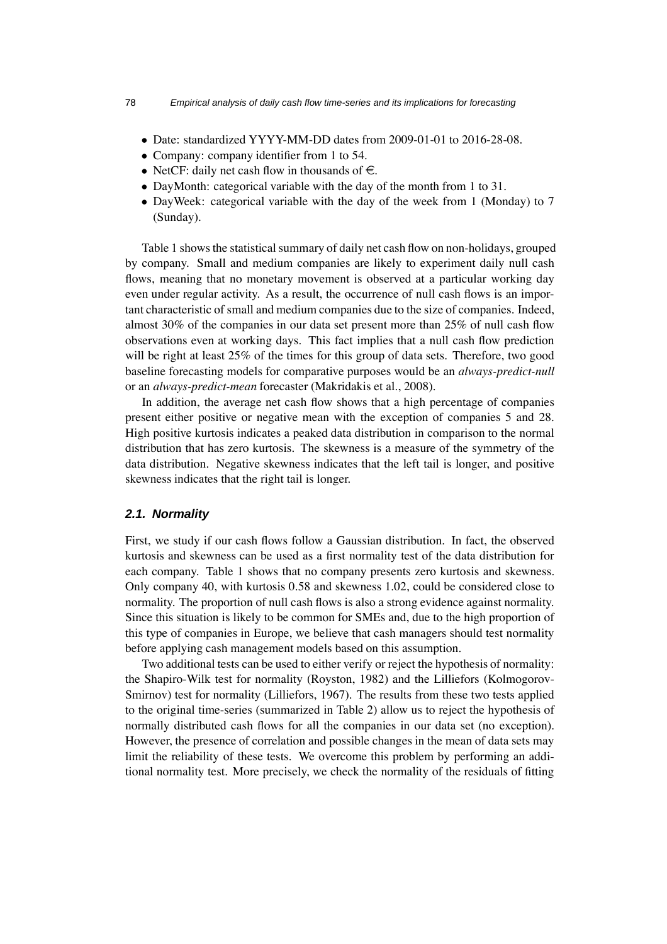- Date: standardized YYYY-MM-DD dates from 2009-01-01 to 2016-28-08.
- Company: company identifier from 1 to 54.
- NetCF: daily net cash flow in thousands of  $\epsilon$ .
- DayMonth: categorical variable with the day of the month from 1 to 31.
- DayWeek: categorical variable with the day of the week from 1 (Monday) to 7 (Sunday).

Table 1 shows the statistical summary of daily net cash flow on non-holidays, grouped by company. Small and medium companies are likely to experiment daily null cash flows, meaning that no monetary movement is observed at a particular working day even under regular activity. As a result, the occurrence of null cash flows is an important characteristic of small and medium companies due to the size of companies. Indeed, almost 30% of the companies in our data set present more than 25% of null cash flow observations even at working days. This fact implies that a null cash flow prediction will be right at least 25% of the times for this group of data sets. Therefore, two good baseline forecasting models for comparative purposes would be an *always-predict-null* or an *always-predict-mean* forecaster (Makridakis et al., 2008).

In addition, the average net cash flow shows that a high percentage of companies present either positive or negative mean with the exception of companies 5 and 28. High positive kurtosis indicates a peaked data distribution in comparison to the normal distribution that has zero kurtosis. The skewness is a measure of the symmetry of the data distribution. Negative skewness indicates that the left tail is longer, and positive skewness indicates that the right tail is longer.

#### *2.1. Normality*

First, we study if our cash flows follow a Gaussian distribution. In fact, the observed kurtosis and skewness can be used as a first normality test of the data distribution for each company. Table 1 shows that no company presents zero kurtosis and skewness. Only company 40, with kurtosis 0.58 and skewness 1.02, could be considered close to normality. The proportion of null cash flows is also a strong evidence against normality. Since this situation is likely to be common for SMEs and, due to the high proportion of this type of companies in Europe, we believe that cash managers should test normality before applying cash management models based on this assumption.

Two additional tests can be used to either verify or reject the hypothesis of normality: the Shapiro-Wilk test for normality (Royston, 1982) and the Lilliefors (Kolmogorov-Smirnov) test for normality (Lilliefors, 1967). The results from these two tests applied to the original time-series (summarized in Table 2) allow us to reject the hypothesis of normally distributed cash flows for all the companies in our data set (no exception). However, the presence of correlation and possible changes in the mean of data sets may limit the reliability of these tests. We overcome this problem by performing an additional normality test. More precisely, we check the normality of the residuals of fitting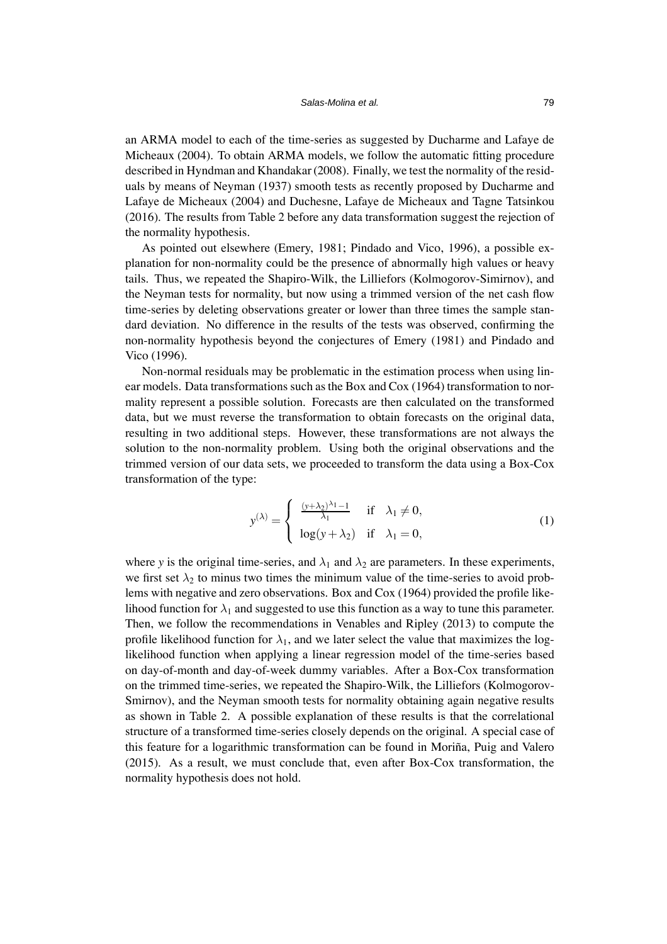an ARMA model to each of the time-series as suggested by Ducharme and Lafaye de Micheaux (2004). To obtain ARMA models, we follow the automatic fitting procedure described in Hyndman and Khandakar (2008). Finally, we test the normality of the residuals by means of Neyman (1937) smooth tests as recently proposed by Ducharme and Lafaye de Micheaux (2004) and Duchesne, Lafaye de Micheaux and Tagne Tatsinkou (2016). The results from Table 2 before any data transformation suggest the rejection of the normality hypothesis.

As pointed out elsewhere (Emery, 1981; Pindado and Vico, 1996), a possible explanation for non-normality could be the presence of abnormally high values or heavy tails. Thus, we repeated the Shapiro-Wilk, the Lilliefors (Kolmogorov-Simirnov), and the Neyman tests for normality, but now using a trimmed version of the net cash flow time-series by deleting observations greater or lower than three times the sample standard deviation. No difference in the results of the tests was observed, confirming the non-normality hypothesis beyond the conjectures of Emery (1981) and Pindado and Vico (1996).

Non-normal residuals may be problematic in the estimation process when using linear models. Data transformations such as the Box and Cox (1964) transformation to normality represent a possible solution. Forecasts are then calculated on the transformed data, but we must reverse the transformation to obtain forecasts on the original data, resulting in two additional steps. However, these transformations are not always the solution to the non-normality problem. Using both the original observations and the trimmed version of our data sets, we proceeded to transform the data using a Box-Cox transformation of the type:

<span id="page-6-0"></span>
$$
y^{(\lambda)} = \begin{cases} \frac{(y+\lambda_2)^{\lambda_1}-1}{\lambda_1} & \text{if } \lambda_1 \neq 0, \\ \log(y+\lambda_2) & \text{if } \lambda_1 = 0, \end{cases}
$$
 (1)

where *y* is the original time-series, and  $\lambda_1$  and  $\lambda_2$  are parameters. In these experiments, we first set  $\lambda_2$  to minus two times the minimum value of the time-series to avoid problems with negative and zero observations. Box and Cox (1964) provided the profile likelihood function for  $\lambda_1$  and suggested to use this function as a way to tune this parameter. Then, we follow the recommendations in Venables and Ripley (2013) to compute the profile likelihood function for  $\lambda_1$ , and we later select the value that maximizes the loglikelihood function when applying a linear regression model of the time-series based on day-of-month and day-of-week dummy variables. After a Box-Cox transformation on the trimmed time-series, we repeated the Shapiro-Wilk, the Lilliefors (Kolmogorov-Smirnov), and the Neyman smooth tests for normality obtaining again negative results as shown in Table 2. A possible explanation of these results is that the correlational structure of a transformed time-series closely depends on the original. A special case of this feature for a logarithmic transformation can be found in Moriña, Puig and Valero (2015). As a result, we must conclude that, even after Box-Cox transformation, the normality hypothesis does not hold.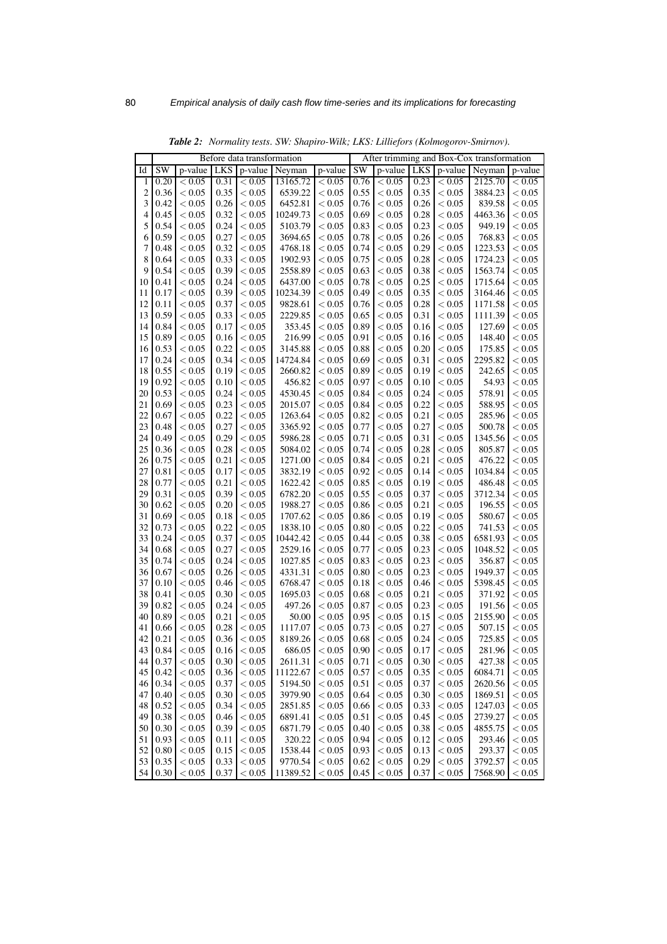| Before data transformation<br>p-value<br>SW<br>p-value<br>LKS<br>p-value<br>Neyman<br>p-value<br>SW<br>LKS<br>p-value<br>Neyman<br>Id<br>0.20<br>< 0.05<br>0.31<br>13165.72<br>0.76<br>< 0.05<br>0.23<br>2125.70<br>< 0.05<br>< 0.05<br>< 0.05<br>1<br>0.36<br>< 0.05<br>0.35<br>< 0.05<br>6539.22<br>< 0.05<br>0.55<br>< 0.05<br>0.35<br>< 0.05<br>3884.23<br>2<br>3<br>0.42<br>< 0.05<br>0.26<br>6452.81<br>< 0.05<br>0.76<br>< 0.05<br>0.26<br>< 0.05<br>839.58<br>< 0.05<br>0.69<br>4<br>0.45<br>< 0.05<br>0.32<br>10249.73<br>< 0.05<br>< 0.05<br>0.28<br>< 0.05<br>4463.36<br>< 0.05<br>0.24<br>0.83<br>949.19<br>5<br>0.54<br>< 0.05<br>< 0.05<br>5103.79<br>< 0.05<br>< 0.05<br>0.23<br>< 0.05<br>0.59<br>0.27<br>768.83<br>6<br>< 0.05<br>< 0.05<br>3694.65<br>< 0.05<br>0.78<br>< 0.05<br>0.26<br>< 0.05<br>7<br>1223.53<br>0.48<br>< 0.05<br>0.32<br>4768.18<br>< 0.05<br>0.74<br>< 0.05<br>0.29<br>< 0.05<br>< 0.05<br>8<br>0.64<br>< 0.05<br>0.33<br>1902.93<br>< 0.05<br>0.75<br>< 0.05<br>0.28<br>< 0.05<br>1724.23<br>< 0.05<br>9<br>0.54<br>0.39<br>0.63<br>1563.74<br>< 0.05<br>< 0.05<br>2558.89<br>< 0.05<br>< 0.05<br>0.38<br>< 0.05<br>< 0.05<br>0.24<br>6437.00<br>0.78<br>0.25<br>1715.64<br>10<br>0.41<br>< 0.05<br>< 0.05<br>< 0.05<br>< 0.05<br>0.17<br>< 0.05<br>0.39<br>10234.39<br>< 0.05<br>0.49<br>< 0.05<br>0.35<br>< 0.05<br>3164.46<br>11<br>< 0.05<br>0.37<br>9828.61<br>0.76<br>1171.58<br>12<br>0.11<br>< 0.05<br>< 0.05<br>< 0.05<br>< 0.05<br>0.28<br>< 0.05<br>2229.85<br>0.59<br>< 0.05<br>0.33<br>< 0.05<br>0.65<br>< 0.05<br>0.31<br>< 0.05<br>1111.39<br>13<br>< 0.05<br>0.89<br>127.69<br>0.84<br>< 0.05<br>0.17<br>353.45<br>< 0.05<br>< 0.05<br>0.16<br>< 0.05<br>14<br>< 0.05<br>0.89<br>216.99<br>0.91<br>148.40<br>15<br>< 0.05<br>0.16<br>< 0.05<br>< 0.05<br>< 0.05<br>0.16<br>< 0.05<br>0.53<br>< 0.05<br>0.22<br>3145.88<br>0.88<br>0.20<br>175.85<br>< 0.05<br>< 0.05<br>< 0.05<br>< 0.05<br>16<br>0.24<br>0.34<br>14724.84<br>0.69<br>< 0.05<br>2295.82<br>17<br>< 0.05<br>< 0.05<br>< 0.05<br>0.31<br>< 0.05<br>0.55<br>< 0.05<br>0.89<br>< 0.05<br>242.65<br>18<br>0.19<br>< 0.05<br>2660.82<br>< 0.05<br>0.19<br>< 0.05<br>0.92<br>456.82<br>0.97<br>0.10<br>54.93<br>19<br>< 0.05<br>0.10<br>< 0.05<br>< 0.05<br>< 0.05<br>< 0.05<br>0.53<br>< 0.05<br>0.24<br>4530.45<br>< 0.05<br>0.84<br>< 0.05<br>0.24<br>578.91<br>20<br>< 0.05<br>< 0.05<br>0.69<br>< 0.05<br>0.23<br>2015.07<br>< 0.05<br>0.84<br>588.95<br>21<br>< 0.05<br>< 0.05<br>0.22<br>< 0.05<br>22<br>< 0.05<br>0.22<br>1263.64<br>0.82<br>0.21<br>285.96<br>0.67<br>< 0.05<br>< 0.05<br>< 0.05<br>< 0.05<br>23<br>< 0.05<br>0.27<br>3365.92<br>< 0.05<br>0.77<br>< 0.05<br>0.27<br>500.78<br>0.48<br>< 0.05<br>< 0.05<br>0.49<br>< 0.05<br>0.29<br>5986.28<br>< 0.05<br>0.71<br>0.31<br>1345.56<br>24<br>< 0.05<br>< 0.05<br>< 0.05<br>25<br>0.36<br>< 0.05<br>0.28<br>5084.02<br>< 0.05<br>0.74<br>< 0.05<br>0.28<br>805.87<br>< 0.05<br>< 0.05<br>0.21<br>1271.00<br>0.84<br>0.21<br>476.22<br>26<br>0.75<br>< 0.05<br>< 0.05<br>< 0.05<br>< 0.05<br>< 0.05<br>27<br>0.81<br>< 0.05<br>0.17<br>3832.19<br>< 0.05<br>0.92<br>< 0.05<br>0.14<br>< 0.05<br>1034.84<br>< 0.05<br>< 0.05<br>0.21<br>1622.42<br>0.85<br>486.48<br>28<br>0.77<br>< 0.05<br>< 0.05<br>< 0.05<br>0.19<br>< 0.05<br>29<br>0.31<br>< 0.05<br>0.39<br>6782.20<br>0.55<br>< 0.05<br>3712.34<br>< 0.05<br>< 0.05<br>0.37<br>< 0.05<br>30<br>0.62<br>< 0.05<br>0.20<br>1988.27<br>< 0.05<br>0.86<br>< 0.05<br>0.21<br>< 0.05<br>196.55<br>< 0.05<br>< 0.05<br>0.18<br>1707.62<br>< 0.05<br>0.86<br>< 0.05<br>0.19<br>580.67<br>31<br>0.69<br>< 0.05<br>< 0.05<br>32<br>0.22<br>1838.10<br>0.80<br>0.22<br>741.53<br>0.73<br>< 0.05<br>< 0.05<br>< 0.05<br>< 0.05<br>< 0.05<br>33<br>0.24<br>< 0.05<br>0.37<br>10442.42<br>< 0.05<br>0.44<br>< 0.05<br>0.38<br>< 0.05<br>6581.93<br>< 0.05<br>0.68<br>< 0.05<br>0.27<br>2529.16<br>$< 0.05$<br>0.77<br>< 0.05<br>0.23<br>< 0.05<br>1048.52<br>34<br>< 0.05<br>35<br>0.24<br>1027.85<br>0.83<br>0.23<br>356.87<br>0.74<br>< 0.05<br>< 0.05<br>< 0.05<br>< 0.05<br>< 0.05<br>< 0.05<br>0.26<br>4331.31<br>< 0.05<br>0.80<br>< 0.05<br>0.23<br>< 0.05<br>1949.37<br>36<br>0.67<br>< 0.05<br>< 0.05<br>0.46<br>6768.47<br>< 0.05<br>0.18<br>< 0.05<br>0.46<br>< 0.05<br>5398.45<br>37<br>0.10<br>< 0.05<br>38<br>< 0.05<br>0.30<br>1695.03<br>< 0.05<br>0.68<br>< 0.05<br>0.21<br>371.92<br>0.41<br>< 0.05<br>< 0.05<br>39<br>0.82<br>0.24<br>497.26<br>0.87<br>191.56<br>< 0.05<br>< 0.05<br>< 0.05<br>< 0.05<br>0.23<br>< 0.05<br>40<br>0.89<br>< 0.05<br>0.21<br>50.00<br>< 0.05<br>0.95<br>< 0.05<br>< 0.05<br>2155.90<br>< 0.05<br>0.15<br>0.73<br>41<br>< 0.05<br>0.28<br>1117.07<br>< 0.05<br>< 0.05<br>0.27<br>< 0.05<br>507.15<br>0.66<br>< 0.05 | After trimming and Box-Cox transformation |  |  |  |
|------------------------------------------------------------------------------------------------------------------------------------------------------------------------------------------------------------------------------------------------------------------------------------------------------------------------------------------------------------------------------------------------------------------------------------------------------------------------------------------------------------------------------------------------------------------------------------------------------------------------------------------------------------------------------------------------------------------------------------------------------------------------------------------------------------------------------------------------------------------------------------------------------------------------------------------------------------------------------------------------------------------------------------------------------------------------------------------------------------------------------------------------------------------------------------------------------------------------------------------------------------------------------------------------------------------------------------------------------------------------------------------------------------------------------------------------------------------------------------------------------------------------------------------------------------------------------------------------------------------------------------------------------------------------------------------------------------------------------------------------------------------------------------------------------------------------------------------------------------------------------------------------------------------------------------------------------------------------------------------------------------------------------------------------------------------------------------------------------------------------------------------------------------------------------------------------------------------------------------------------------------------------------------------------------------------------------------------------------------------------------------------------------------------------------------------------------------------------------------------------------------------------------------------------------------------------------------------------------------------------------------------------------------------------------------------------------------------------------------------------------------------------------------------------------------------------------------------------------------------------------------------------------------------------------------------------------------------------------------------------------------------------------------------------------------------------------------------------------------------------------------------------------------------------------------------------------------------------------------------------------------------------------------------------------------------------------------------------------------------------------------------------------------------------------------------------------------------------------------------------------------------------------------------------------------------------------------------------------------------------------------------------------------------------------------------------------------------------------------------------------------------------------------------------------------------------------------------------------------------------------------------------------------------------------------------------------------------------------------------------------------------------------------------------------------------------------------------------------------------------------------------------------------------------------------------------------------------------------------------------------------------------------------------------------------------------------------------------------------------------------------------------------------------------------------------------------------------------------------------------------------------------------------------------------------------------------------------------------------------------------------------------------------------------------------------------------------------------------------------------------------------------------------------------------|-------------------------------------------|--|--|--|
|                                                                                                                                                                                                                                                                                                                                                                                                                                                                                                                                                                                                                                                                                                                                                                                                                                                                                                                                                                                                                                                                                                                                                                                                                                                                                                                                                                                                                                                                                                                                                                                                                                                                                                                                                                                                                                                                                                                                                                                                                                                                                                                                                                                                                                                                                                                                                                                                                                                                                                                                                                                                                                                                                                                                                                                                                                                                                                                                                                                                                                                                                                                                                                                                                                                                                                                                                                                                                                                                                                                                                                                                                                                                                                                                                                                                                                                                                                                                                                                                                                                                                                                                                                                                                                                                                                                                                                                                                                                                                                                                                                                                                                                                                                                                                                                                      | p-value                                   |  |  |  |
|                                                                                                                                                                                                                                                                                                                                                                                                                                                                                                                                                                                                                                                                                                                                                                                                                                                                                                                                                                                                                                                                                                                                                                                                                                                                                                                                                                                                                                                                                                                                                                                                                                                                                                                                                                                                                                                                                                                                                                                                                                                                                                                                                                                                                                                                                                                                                                                                                                                                                                                                                                                                                                                                                                                                                                                                                                                                                                                                                                                                                                                                                                                                                                                                                                                                                                                                                                                                                                                                                                                                                                                                                                                                                                                                                                                                                                                                                                                                                                                                                                                                                                                                                                                                                                                                                                                                                                                                                                                                                                                                                                                                                                                                                                                                                                                                      | < 0.05                                    |  |  |  |
|                                                                                                                                                                                                                                                                                                                                                                                                                                                                                                                                                                                                                                                                                                                                                                                                                                                                                                                                                                                                                                                                                                                                                                                                                                                                                                                                                                                                                                                                                                                                                                                                                                                                                                                                                                                                                                                                                                                                                                                                                                                                                                                                                                                                                                                                                                                                                                                                                                                                                                                                                                                                                                                                                                                                                                                                                                                                                                                                                                                                                                                                                                                                                                                                                                                                                                                                                                                                                                                                                                                                                                                                                                                                                                                                                                                                                                                                                                                                                                                                                                                                                                                                                                                                                                                                                                                                                                                                                                                                                                                                                                                                                                                                                                                                                                                                      | < 0.05                                    |  |  |  |
|                                                                                                                                                                                                                                                                                                                                                                                                                                                                                                                                                                                                                                                                                                                                                                                                                                                                                                                                                                                                                                                                                                                                                                                                                                                                                                                                                                                                                                                                                                                                                                                                                                                                                                                                                                                                                                                                                                                                                                                                                                                                                                                                                                                                                                                                                                                                                                                                                                                                                                                                                                                                                                                                                                                                                                                                                                                                                                                                                                                                                                                                                                                                                                                                                                                                                                                                                                                                                                                                                                                                                                                                                                                                                                                                                                                                                                                                                                                                                                                                                                                                                                                                                                                                                                                                                                                                                                                                                                                                                                                                                                                                                                                                                                                                                                                                      | < 0.05                                    |  |  |  |
|                                                                                                                                                                                                                                                                                                                                                                                                                                                                                                                                                                                                                                                                                                                                                                                                                                                                                                                                                                                                                                                                                                                                                                                                                                                                                                                                                                                                                                                                                                                                                                                                                                                                                                                                                                                                                                                                                                                                                                                                                                                                                                                                                                                                                                                                                                                                                                                                                                                                                                                                                                                                                                                                                                                                                                                                                                                                                                                                                                                                                                                                                                                                                                                                                                                                                                                                                                                                                                                                                                                                                                                                                                                                                                                                                                                                                                                                                                                                                                                                                                                                                                                                                                                                                                                                                                                                                                                                                                                                                                                                                                                                                                                                                                                                                                                                      | < 0.05                                    |  |  |  |
|                                                                                                                                                                                                                                                                                                                                                                                                                                                                                                                                                                                                                                                                                                                                                                                                                                                                                                                                                                                                                                                                                                                                                                                                                                                                                                                                                                                                                                                                                                                                                                                                                                                                                                                                                                                                                                                                                                                                                                                                                                                                                                                                                                                                                                                                                                                                                                                                                                                                                                                                                                                                                                                                                                                                                                                                                                                                                                                                                                                                                                                                                                                                                                                                                                                                                                                                                                                                                                                                                                                                                                                                                                                                                                                                                                                                                                                                                                                                                                                                                                                                                                                                                                                                                                                                                                                                                                                                                                                                                                                                                                                                                                                                                                                                                                                                      | < 0.05                                    |  |  |  |
|                                                                                                                                                                                                                                                                                                                                                                                                                                                                                                                                                                                                                                                                                                                                                                                                                                                                                                                                                                                                                                                                                                                                                                                                                                                                                                                                                                                                                                                                                                                                                                                                                                                                                                                                                                                                                                                                                                                                                                                                                                                                                                                                                                                                                                                                                                                                                                                                                                                                                                                                                                                                                                                                                                                                                                                                                                                                                                                                                                                                                                                                                                                                                                                                                                                                                                                                                                                                                                                                                                                                                                                                                                                                                                                                                                                                                                                                                                                                                                                                                                                                                                                                                                                                                                                                                                                                                                                                                                                                                                                                                                                                                                                                                                                                                                                                      | < 0.05                                    |  |  |  |
|                                                                                                                                                                                                                                                                                                                                                                                                                                                                                                                                                                                                                                                                                                                                                                                                                                                                                                                                                                                                                                                                                                                                                                                                                                                                                                                                                                                                                                                                                                                                                                                                                                                                                                                                                                                                                                                                                                                                                                                                                                                                                                                                                                                                                                                                                                                                                                                                                                                                                                                                                                                                                                                                                                                                                                                                                                                                                                                                                                                                                                                                                                                                                                                                                                                                                                                                                                                                                                                                                                                                                                                                                                                                                                                                                                                                                                                                                                                                                                                                                                                                                                                                                                                                                                                                                                                                                                                                                                                                                                                                                                                                                                                                                                                                                                                                      | < 0.05                                    |  |  |  |
|                                                                                                                                                                                                                                                                                                                                                                                                                                                                                                                                                                                                                                                                                                                                                                                                                                                                                                                                                                                                                                                                                                                                                                                                                                                                                                                                                                                                                                                                                                                                                                                                                                                                                                                                                                                                                                                                                                                                                                                                                                                                                                                                                                                                                                                                                                                                                                                                                                                                                                                                                                                                                                                                                                                                                                                                                                                                                                                                                                                                                                                                                                                                                                                                                                                                                                                                                                                                                                                                                                                                                                                                                                                                                                                                                                                                                                                                                                                                                                                                                                                                                                                                                                                                                                                                                                                                                                                                                                                                                                                                                                                                                                                                                                                                                                                                      | < 0.05                                    |  |  |  |
|                                                                                                                                                                                                                                                                                                                                                                                                                                                                                                                                                                                                                                                                                                                                                                                                                                                                                                                                                                                                                                                                                                                                                                                                                                                                                                                                                                                                                                                                                                                                                                                                                                                                                                                                                                                                                                                                                                                                                                                                                                                                                                                                                                                                                                                                                                                                                                                                                                                                                                                                                                                                                                                                                                                                                                                                                                                                                                                                                                                                                                                                                                                                                                                                                                                                                                                                                                                                                                                                                                                                                                                                                                                                                                                                                                                                                                                                                                                                                                                                                                                                                                                                                                                                                                                                                                                                                                                                                                                                                                                                                                                                                                                                                                                                                                                                      | < 0.05                                    |  |  |  |
|                                                                                                                                                                                                                                                                                                                                                                                                                                                                                                                                                                                                                                                                                                                                                                                                                                                                                                                                                                                                                                                                                                                                                                                                                                                                                                                                                                                                                                                                                                                                                                                                                                                                                                                                                                                                                                                                                                                                                                                                                                                                                                                                                                                                                                                                                                                                                                                                                                                                                                                                                                                                                                                                                                                                                                                                                                                                                                                                                                                                                                                                                                                                                                                                                                                                                                                                                                                                                                                                                                                                                                                                                                                                                                                                                                                                                                                                                                                                                                                                                                                                                                                                                                                                                                                                                                                                                                                                                                                                                                                                                                                                                                                                                                                                                                                                      | < 0.05                                    |  |  |  |
|                                                                                                                                                                                                                                                                                                                                                                                                                                                                                                                                                                                                                                                                                                                                                                                                                                                                                                                                                                                                                                                                                                                                                                                                                                                                                                                                                                                                                                                                                                                                                                                                                                                                                                                                                                                                                                                                                                                                                                                                                                                                                                                                                                                                                                                                                                                                                                                                                                                                                                                                                                                                                                                                                                                                                                                                                                                                                                                                                                                                                                                                                                                                                                                                                                                                                                                                                                                                                                                                                                                                                                                                                                                                                                                                                                                                                                                                                                                                                                                                                                                                                                                                                                                                                                                                                                                                                                                                                                                                                                                                                                                                                                                                                                                                                                                                      | < 0.05                                    |  |  |  |
|                                                                                                                                                                                                                                                                                                                                                                                                                                                                                                                                                                                                                                                                                                                                                                                                                                                                                                                                                                                                                                                                                                                                                                                                                                                                                                                                                                                                                                                                                                                                                                                                                                                                                                                                                                                                                                                                                                                                                                                                                                                                                                                                                                                                                                                                                                                                                                                                                                                                                                                                                                                                                                                                                                                                                                                                                                                                                                                                                                                                                                                                                                                                                                                                                                                                                                                                                                                                                                                                                                                                                                                                                                                                                                                                                                                                                                                                                                                                                                                                                                                                                                                                                                                                                                                                                                                                                                                                                                                                                                                                                                                                                                                                                                                                                                                                      | < 0.05                                    |  |  |  |
|                                                                                                                                                                                                                                                                                                                                                                                                                                                                                                                                                                                                                                                                                                                                                                                                                                                                                                                                                                                                                                                                                                                                                                                                                                                                                                                                                                                                                                                                                                                                                                                                                                                                                                                                                                                                                                                                                                                                                                                                                                                                                                                                                                                                                                                                                                                                                                                                                                                                                                                                                                                                                                                                                                                                                                                                                                                                                                                                                                                                                                                                                                                                                                                                                                                                                                                                                                                                                                                                                                                                                                                                                                                                                                                                                                                                                                                                                                                                                                                                                                                                                                                                                                                                                                                                                                                                                                                                                                                                                                                                                                                                                                                                                                                                                                                                      | < 0.05                                    |  |  |  |
|                                                                                                                                                                                                                                                                                                                                                                                                                                                                                                                                                                                                                                                                                                                                                                                                                                                                                                                                                                                                                                                                                                                                                                                                                                                                                                                                                                                                                                                                                                                                                                                                                                                                                                                                                                                                                                                                                                                                                                                                                                                                                                                                                                                                                                                                                                                                                                                                                                                                                                                                                                                                                                                                                                                                                                                                                                                                                                                                                                                                                                                                                                                                                                                                                                                                                                                                                                                                                                                                                                                                                                                                                                                                                                                                                                                                                                                                                                                                                                                                                                                                                                                                                                                                                                                                                                                                                                                                                                                                                                                                                                                                                                                                                                                                                                                                      | < 0.05                                    |  |  |  |
|                                                                                                                                                                                                                                                                                                                                                                                                                                                                                                                                                                                                                                                                                                                                                                                                                                                                                                                                                                                                                                                                                                                                                                                                                                                                                                                                                                                                                                                                                                                                                                                                                                                                                                                                                                                                                                                                                                                                                                                                                                                                                                                                                                                                                                                                                                                                                                                                                                                                                                                                                                                                                                                                                                                                                                                                                                                                                                                                                                                                                                                                                                                                                                                                                                                                                                                                                                                                                                                                                                                                                                                                                                                                                                                                                                                                                                                                                                                                                                                                                                                                                                                                                                                                                                                                                                                                                                                                                                                                                                                                                                                                                                                                                                                                                                                                      | < 0.05                                    |  |  |  |
|                                                                                                                                                                                                                                                                                                                                                                                                                                                                                                                                                                                                                                                                                                                                                                                                                                                                                                                                                                                                                                                                                                                                                                                                                                                                                                                                                                                                                                                                                                                                                                                                                                                                                                                                                                                                                                                                                                                                                                                                                                                                                                                                                                                                                                                                                                                                                                                                                                                                                                                                                                                                                                                                                                                                                                                                                                                                                                                                                                                                                                                                                                                                                                                                                                                                                                                                                                                                                                                                                                                                                                                                                                                                                                                                                                                                                                                                                                                                                                                                                                                                                                                                                                                                                                                                                                                                                                                                                                                                                                                                                                                                                                                                                                                                                                                                      | < 0.05                                    |  |  |  |
|                                                                                                                                                                                                                                                                                                                                                                                                                                                                                                                                                                                                                                                                                                                                                                                                                                                                                                                                                                                                                                                                                                                                                                                                                                                                                                                                                                                                                                                                                                                                                                                                                                                                                                                                                                                                                                                                                                                                                                                                                                                                                                                                                                                                                                                                                                                                                                                                                                                                                                                                                                                                                                                                                                                                                                                                                                                                                                                                                                                                                                                                                                                                                                                                                                                                                                                                                                                                                                                                                                                                                                                                                                                                                                                                                                                                                                                                                                                                                                                                                                                                                                                                                                                                                                                                                                                                                                                                                                                                                                                                                                                                                                                                                                                                                                                                      | < 0.05                                    |  |  |  |
|                                                                                                                                                                                                                                                                                                                                                                                                                                                                                                                                                                                                                                                                                                                                                                                                                                                                                                                                                                                                                                                                                                                                                                                                                                                                                                                                                                                                                                                                                                                                                                                                                                                                                                                                                                                                                                                                                                                                                                                                                                                                                                                                                                                                                                                                                                                                                                                                                                                                                                                                                                                                                                                                                                                                                                                                                                                                                                                                                                                                                                                                                                                                                                                                                                                                                                                                                                                                                                                                                                                                                                                                                                                                                                                                                                                                                                                                                                                                                                                                                                                                                                                                                                                                                                                                                                                                                                                                                                                                                                                                                                                                                                                                                                                                                                                                      | < 0.05                                    |  |  |  |
|                                                                                                                                                                                                                                                                                                                                                                                                                                                                                                                                                                                                                                                                                                                                                                                                                                                                                                                                                                                                                                                                                                                                                                                                                                                                                                                                                                                                                                                                                                                                                                                                                                                                                                                                                                                                                                                                                                                                                                                                                                                                                                                                                                                                                                                                                                                                                                                                                                                                                                                                                                                                                                                                                                                                                                                                                                                                                                                                                                                                                                                                                                                                                                                                                                                                                                                                                                                                                                                                                                                                                                                                                                                                                                                                                                                                                                                                                                                                                                                                                                                                                                                                                                                                                                                                                                                                                                                                                                                                                                                                                                                                                                                                                                                                                                                                      | < 0.05                                    |  |  |  |
|                                                                                                                                                                                                                                                                                                                                                                                                                                                                                                                                                                                                                                                                                                                                                                                                                                                                                                                                                                                                                                                                                                                                                                                                                                                                                                                                                                                                                                                                                                                                                                                                                                                                                                                                                                                                                                                                                                                                                                                                                                                                                                                                                                                                                                                                                                                                                                                                                                                                                                                                                                                                                                                                                                                                                                                                                                                                                                                                                                                                                                                                                                                                                                                                                                                                                                                                                                                                                                                                                                                                                                                                                                                                                                                                                                                                                                                                                                                                                                                                                                                                                                                                                                                                                                                                                                                                                                                                                                                                                                                                                                                                                                                                                                                                                                                                      | < 0.05                                    |  |  |  |
|                                                                                                                                                                                                                                                                                                                                                                                                                                                                                                                                                                                                                                                                                                                                                                                                                                                                                                                                                                                                                                                                                                                                                                                                                                                                                                                                                                                                                                                                                                                                                                                                                                                                                                                                                                                                                                                                                                                                                                                                                                                                                                                                                                                                                                                                                                                                                                                                                                                                                                                                                                                                                                                                                                                                                                                                                                                                                                                                                                                                                                                                                                                                                                                                                                                                                                                                                                                                                                                                                                                                                                                                                                                                                                                                                                                                                                                                                                                                                                                                                                                                                                                                                                                                                                                                                                                                                                                                                                                                                                                                                                                                                                                                                                                                                                                                      | < 0.05                                    |  |  |  |
|                                                                                                                                                                                                                                                                                                                                                                                                                                                                                                                                                                                                                                                                                                                                                                                                                                                                                                                                                                                                                                                                                                                                                                                                                                                                                                                                                                                                                                                                                                                                                                                                                                                                                                                                                                                                                                                                                                                                                                                                                                                                                                                                                                                                                                                                                                                                                                                                                                                                                                                                                                                                                                                                                                                                                                                                                                                                                                                                                                                                                                                                                                                                                                                                                                                                                                                                                                                                                                                                                                                                                                                                                                                                                                                                                                                                                                                                                                                                                                                                                                                                                                                                                                                                                                                                                                                                                                                                                                                                                                                                                                                                                                                                                                                                                                                                      | < 0.05                                    |  |  |  |
|                                                                                                                                                                                                                                                                                                                                                                                                                                                                                                                                                                                                                                                                                                                                                                                                                                                                                                                                                                                                                                                                                                                                                                                                                                                                                                                                                                                                                                                                                                                                                                                                                                                                                                                                                                                                                                                                                                                                                                                                                                                                                                                                                                                                                                                                                                                                                                                                                                                                                                                                                                                                                                                                                                                                                                                                                                                                                                                                                                                                                                                                                                                                                                                                                                                                                                                                                                                                                                                                                                                                                                                                                                                                                                                                                                                                                                                                                                                                                                                                                                                                                                                                                                                                                                                                                                                                                                                                                                                                                                                                                                                                                                                                                                                                                                                                      | < 0.05                                    |  |  |  |
|                                                                                                                                                                                                                                                                                                                                                                                                                                                                                                                                                                                                                                                                                                                                                                                                                                                                                                                                                                                                                                                                                                                                                                                                                                                                                                                                                                                                                                                                                                                                                                                                                                                                                                                                                                                                                                                                                                                                                                                                                                                                                                                                                                                                                                                                                                                                                                                                                                                                                                                                                                                                                                                                                                                                                                                                                                                                                                                                                                                                                                                                                                                                                                                                                                                                                                                                                                                                                                                                                                                                                                                                                                                                                                                                                                                                                                                                                                                                                                                                                                                                                                                                                                                                                                                                                                                                                                                                                                                                                                                                                                                                                                                                                                                                                                                                      | < 0.05                                    |  |  |  |
|                                                                                                                                                                                                                                                                                                                                                                                                                                                                                                                                                                                                                                                                                                                                                                                                                                                                                                                                                                                                                                                                                                                                                                                                                                                                                                                                                                                                                                                                                                                                                                                                                                                                                                                                                                                                                                                                                                                                                                                                                                                                                                                                                                                                                                                                                                                                                                                                                                                                                                                                                                                                                                                                                                                                                                                                                                                                                                                                                                                                                                                                                                                                                                                                                                                                                                                                                                                                                                                                                                                                                                                                                                                                                                                                                                                                                                                                                                                                                                                                                                                                                                                                                                                                                                                                                                                                                                                                                                                                                                                                                                                                                                                                                                                                                                                                      | < 0.05                                    |  |  |  |
|                                                                                                                                                                                                                                                                                                                                                                                                                                                                                                                                                                                                                                                                                                                                                                                                                                                                                                                                                                                                                                                                                                                                                                                                                                                                                                                                                                                                                                                                                                                                                                                                                                                                                                                                                                                                                                                                                                                                                                                                                                                                                                                                                                                                                                                                                                                                                                                                                                                                                                                                                                                                                                                                                                                                                                                                                                                                                                                                                                                                                                                                                                                                                                                                                                                                                                                                                                                                                                                                                                                                                                                                                                                                                                                                                                                                                                                                                                                                                                                                                                                                                                                                                                                                                                                                                                                                                                                                                                                                                                                                                                                                                                                                                                                                                                                                      | < 0.05                                    |  |  |  |
|                                                                                                                                                                                                                                                                                                                                                                                                                                                                                                                                                                                                                                                                                                                                                                                                                                                                                                                                                                                                                                                                                                                                                                                                                                                                                                                                                                                                                                                                                                                                                                                                                                                                                                                                                                                                                                                                                                                                                                                                                                                                                                                                                                                                                                                                                                                                                                                                                                                                                                                                                                                                                                                                                                                                                                                                                                                                                                                                                                                                                                                                                                                                                                                                                                                                                                                                                                                                                                                                                                                                                                                                                                                                                                                                                                                                                                                                                                                                                                                                                                                                                                                                                                                                                                                                                                                                                                                                                                                                                                                                                                                                                                                                                                                                                                                                      | < 0.05                                    |  |  |  |
|                                                                                                                                                                                                                                                                                                                                                                                                                                                                                                                                                                                                                                                                                                                                                                                                                                                                                                                                                                                                                                                                                                                                                                                                                                                                                                                                                                                                                                                                                                                                                                                                                                                                                                                                                                                                                                                                                                                                                                                                                                                                                                                                                                                                                                                                                                                                                                                                                                                                                                                                                                                                                                                                                                                                                                                                                                                                                                                                                                                                                                                                                                                                                                                                                                                                                                                                                                                                                                                                                                                                                                                                                                                                                                                                                                                                                                                                                                                                                                                                                                                                                                                                                                                                                                                                                                                                                                                                                                                                                                                                                                                                                                                                                                                                                                                                      | $< 0.05$                                  |  |  |  |
|                                                                                                                                                                                                                                                                                                                                                                                                                                                                                                                                                                                                                                                                                                                                                                                                                                                                                                                                                                                                                                                                                                                                                                                                                                                                                                                                                                                                                                                                                                                                                                                                                                                                                                                                                                                                                                                                                                                                                                                                                                                                                                                                                                                                                                                                                                                                                                                                                                                                                                                                                                                                                                                                                                                                                                                                                                                                                                                                                                                                                                                                                                                                                                                                                                                                                                                                                                                                                                                                                                                                                                                                                                                                                                                                                                                                                                                                                                                                                                                                                                                                                                                                                                                                                                                                                                                                                                                                                                                                                                                                                                                                                                                                                                                                                                                                      | < 0.05                                    |  |  |  |
|                                                                                                                                                                                                                                                                                                                                                                                                                                                                                                                                                                                                                                                                                                                                                                                                                                                                                                                                                                                                                                                                                                                                                                                                                                                                                                                                                                                                                                                                                                                                                                                                                                                                                                                                                                                                                                                                                                                                                                                                                                                                                                                                                                                                                                                                                                                                                                                                                                                                                                                                                                                                                                                                                                                                                                                                                                                                                                                                                                                                                                                                                                                                                                                                                                                                                                                                                                                                                                                                                                                                                                                                                                                                                                                                                                                                                                                                                                                                                                                                                                                                                                                                                                                                                                                                                                                                                                                                                                                                                                                                                                                                                                                                                                                                                                                                      | < 0.05                                    |  |  |  |
|                                                                                                                                                                                                                                                                                                                                                                                                                                                                                                                                                                                                                                                                                                                                                                                                                                                                                                                                                                                                                                                                                                                                                                                                                                                                                                                                                                                                                                                                                                                                                                                                                                                                                                                                                                                                                                                                                                                                                                                                                                                                                                                                                                                                                                                                                                                                                                                                                                                                                                                                                                                                                                                                                                                                                                                                                                                                                                                                                                                                                                                                                                                                                                                                                                                                                                                                                                                                                                                                                                                                                                                                                                                                                                                                                                                                                                                                                                                                                                                                                                                                                                                                                                                                                                                                                                                                                                                                                                                                                                                                                                                                                                                                                                                                                                                                      | < 0.05                                    |  |  |  |
|                                                                                                                                                                                                                                                                                                                                                                                                                                                                                                                                                                                                                                                                                                                                                                                                                                                                                                                                                                                                                                                                                                                                                                                                                                                                                                                                                                                                                                                                                                                                                                                                                                                                                                                                                                                                                                                                                                                                                                                                                                                                                                                                                                                                                                                                                                                                                                                                                                                                                                                                                                                                                                                                                                                                                                                                                                                                                                                                                                                                                                                                                                                                                                                                                                                                                                                                                                                                                                                                                                                                                                                                                                                                                                                                                                                                                                                                                                                                                                                                                                                                                                                                                                                                                                                                                                                                                                                                                                                                                                                                                                                                                                                                                                                                                                                                      | < 0.05                                    |  |  |  |
|                                                                                                                                                                                                                                                                                                                                                                                                                                                                                                                                                                                                                                                                                                                                                                                                                                                                                                                                                                                                                                                                                                                                                                                                                                                                                                                                                                                                                                                                                                                                                                                                                                                                                                                                                                                                                                                                                                                                                                                                                                                                                                                                                                                                                                                                                                                                                                                                                                                                                                                                                                                                                                                                                                                                                                                                                                                                                                                                                                                                                                                                                                                                                                                                                                                                                                                                                                                                                                                                                                                                                                                                                                                                                                                                                                                                                                                                                                                                                                                                                                                                                                                                                                                                                                                                                                                                                                                                                                                                                                                                                                                                                                                                                                                                                                                                      | < 0.05                                    |  |  |  |
|                                                                                                                                                                                                                                                                                                                                                                                                                                                                                                                                                                                                                                                                                                                                                                                                                                                                                                                                                                                                                                                                                                                                                                                                                                                                                                                                                                                                                                                                                                                                                                                                                                                                                                                                                                                                                                                                                                                                                                                                                                                                                                                                                                                                                                                                                                                                                                                                                                                                                                                                                                                                                                                                                                                                                                                                                                                                                                                                                                                                                                                                                                                                                                                                                                                                                                                                                                                                                                                                                                                                                                                                                                                                                                                                                                                                                                                                                                                                                                                                                                                                                                                                                                                                                                                                                                                                                                                                                                                                                                                                                                                                                                                                                                                                                                                                      | < 0.05                                    |  |  |  |
|                                                                                                                                                                                                                                                                                                                                                                                                                                                                                                                                                                                                                                                                                                                                                                                                                                                                                                                                                                                                                                                                                                                                                                                                                                                                                                                                                                                                                                                                                                                                                                                                                                                                                                                                                                                                                                                                                                                                                                                                                                                                                                                                                                                                                                                                                                                                                                                                                                                                                                                                                                                                                                                                                                                                                                                                                                                                                                                                                                                                                                                                                                                                                                                                                                                                                                                                                                                                                                                                                                                                                                                                                                                                                                                                                                                                                                                                                                                                                                                                                                                                                                                                                                                                                                                                                                                                                                                                                                                                                                                                                                                                                                                                                                                                                                                                      | < 0.05                                    |  |  |  |
|                                                                                                                                                                                                                                                                                                                                                                                                                                                                                                                                                                                                                                                                                                                                                                                                                                                                                                                                                                                                                                                                                                                                                                                                                                                                                                                                                                                                                                                                                                                                                                                                                                                                                                                                                                                                                                                                                                                                                                                                                                                                                                                                                                                                                                                                                                                                                                                                                                                                                                                                                                                                                                                                                                                                                                                                                                                                                                                                                                                                                                                                                                                                                                                                                                                                                                                                                                                                                                                                                                                                                                                                                                                                                                                                                                                                                                                                                                                                                                                                                                                                                                                                                                                                                                                                                                                                                                                                                                                                                                                                                                                                                                                                                                                                                                                                      | < 0.05                                    |  |  |  |
|                                                                                                                                                                                                                                                                                                                                                                                                                                                                                                                                                                                                                                                                                                                                                                                                                                                                                                                                                                                                                                                                                                                                                                                                                                                                                                                                                                                                                                                                                                                                                                                                                                                                                                                                                                                                                                                                                                                                                                                                                                                                                                                                                                                                                                                                                                                                                                                                                                                                                                                                                                                                                                                                                                                                                                                                                                                                                                                                                                                                                                                                                                                                                                                                                                                                                                                                                                                                                                                                                                                                                                                                                                                                                                                                                                                                                                                                                                                                                                                                                                                                                                                                                                                                                                                                                                                                                                                                                                                                                                                                                                                                                                                                                                                                                                                                      | < 0.05                                    |  |  |  |
|                                                                                                                                                                                                                                                                                                                                                                                                                                                                                                                                                                                                                                                                                                                                                                                                                                                                                                                                                                                                                                                                                                                                                                                                                                                                                                                                                                                                                                                                                                                                                                                                                                                                                                                                                                                                                                                                                                                                                                                                                                                                                                                                                                                                                                                                                                                                                                                                                                                                                                                                                                                                                                                                                                                                                                                                                                                                                                                                                                                                                                                                                                                                                                                                                                                                                                                                                                                                                                                                                                                                                                                                                                                                                                                                                                                                                                                                                                                                                                                                                                                                                                                                                                                                                                                                                                                                                                                                                                                                                                                                                                                                                                                                                                                                                                                                      | < 0.05                                    |  |  |  |
|                                                                                                                                                                                                                                                                                                                                                                                                                                                                                                                                                                                                                                                                                                                                                                                                                                                                                                                                                                                                                                                                                                                                                                                                                                                                                                                                                                                                                                                                                                                                                                                                                                                                                                                                                                                                                                                                                                                                                                                                                                                                                                                                                                                                                                                                                                                                                                                                                                                                                                                                                                                                                                                                                                                                                                                                                                                                                                                                                                                                                                                                                                                                                                                                                                                                                                                                                                                                                                                                                                                                                                                                                                                                                                                                                                                                                                                                                                                                                                                                                                                                                                                                                                                                                                                                                                                                                                                                                                                                                                                                                                                                                                                                                                                                                                                                      | < 0.05                                    |  |  |  |
|                                                                                                                                                                                                                                                                                                                                                                                                                                                                                                                                                                                                                                                                                                                                                                                                                                                                                                                                                                                                                                                                                                                                                                                                                                                                                                                                                                                                                                                                                                                                                                                                                                                                                                                                                                                                                                                                                                                                                                                                                                                                                                                                                                                                                                                                                                                                                                                                                                                                                                                                                                                                                                                                                                                                                                                                                                                                                                                                                                                                                                                                                                                                                                                                                                                                                                                                                                                                                                                                                                                                                                                                                                                                                                                                                                                                                                                                                                                                                                                                                                                                                                                                                                                                                                                                                                                                                                                                                                                                                                                                                                                                                                                                                                                                                                                                      | < 0.05                                    |  |  |  |
|                                                                                                                                                                                                                                                                                                                                                                                                                                                                                                                                                                                                                                                                                                                                                                                                                                                                                                                                                                                                                                                                                                                                                                                                                                                                                                                                                                                                                                                                                                                                                                                                                                                                                                                                                                                                                                                                                                                                                                                                                                                                                                                                                                                                                                                                                                                                                                                                                                                                                                                                                                                                                                                                                                                                                                                                                                                                                                                                                                                                                                                                                                                                                                                                                                                                                                                                                                                                                                                                                                                                                                                                                                                                                                                                                                                                                                                                                                                                                                                                                                                                                                                                                                                                                                                                                                                                                                                                                                                                                                                                                                                                                                                                                                                                                                                                      | < 0.05                                    |  |  |  |
| 42<br>0.36<br>< 0.05<br>8189.26<br>< 0.05<br>0.68<br>< 0.05<br>0.24<br>725.85<br>0.21<br>< 0.05<br>< 0.05                                                                                                                                                                                                                                                                                                                                                                                                                                                                                                                                                                                                                                                                                                                                                                                                                                                                                                                                                                                                                                                                                                                                                                                                                                                                                                                                                                                                                                                                                                                                                                                                                                                                                                                                                                                                                                                                                                                                                                                                                                                                                                                                                                                                                                                                                                                                                                                                                                                                                                                                                                                                                                                                                                                                                                                                                                                                                                                                                                                                                                                                                                                                                                                                                                                                                                                                                                                                                                                                                                                                                                                                                                                                                                                                                                                                                                                                                                                                                                                                                                                                                                                                                                                                                                                                                                                                                                                                                                                                                                                                                                                                                                                                                            | < 0.05                                    |  |  |  |
| 43<br>0.84<br>< 0.05<br>0.16<br>$< 0.05\,$<br>686.05<br>$< 0.05\,$<br>0.90<br>0.17<br>281.96<br>< 0.05<br>$< 0.05$                                                                                                                                                                                                                                                                                                                                                                                                                                                                                                                                                                                                                                                                                                                                                                                                                                                                                                                                                                                                                                                                                                                                                                                                                                                                                                                                                                                                                                                                                                                                                                                                                                                                                                                                                                                                                                                                                                                                                                                                                                                                                                                                                                                                                                                                                                                                                                                                                                                                                                                                                                                                                                                                                                                                                                                                                                                                                                                                                                                                                                                                                                                                                                                                                                                                                                                                                                                                                                                                                                                                                                                                                                                                                                                                                                                                                                                                                                                                                                                                                                                                                                                                                                                                                                                                                                                                                                                                                                                                                                                                                                                                                                                                                   | < 0.05                                    |  |  |  |
| 44 0.37<br>< 0.05<br>0.30<br>< 0.05<br>427.38<br>2611.31<br>< 0.05<br>0.71<br>< 0.05<br>0.30<br>< 0.05                                                                                                                                                                                                                                                                                                                                                                                                                                                                                                                                                                                                                                                                                                                                                                                                                                                                                                                                                                                                                                                                                                                                                                                                                                                                                                                                                                                                                                                                                                                                                                                                                                                                                                                                                                                                                                                                                                                                                                                                                                                                                                                                                                                                                                                                                                                                                                                                                                                                                                                                                                                                                                                                                                                                                                                                                                                                                                                                                                                                                                                                                                                                                                                                                                                                                                                                                                                                                                                                                                                                                                                                                                                                                                                                                                                                                                                                                                                                                                                                                                                                                                                                                                                                                                                                                                                                                                                                                                                                                                                                                                                                                                                                                               | < 0.05                                    |  |  |  |
| 6084.71<br>45<br>0.42<br>< 0.05<br>0.36<br>< 0.05<br>11122.67<br>< 0.05<br>0.57<br>< 0.05<br>< 0.05<br>0.35                                                                                                                                                                                                                                                                                                                                                                                                                                                                                                                                                                                                                                                                                                                                                                                                                                                                                                                                                                                                                                                                                                                                                                                                                                                                                                                                                                                                                                                                                                                                                                                                                                                                                                                                                                                                                                                                                                                                                                                                                                                                                                                                                                                                                                                                                                                                                                                                                                                                                                                                                                                                                                                                                                                                                                                                                                                                                                                                                                                                                                                                                                                                                                                                                                                                                                                                                                                                                                                                                                                                                                                                                                                                                                                                                                                                                                                                                                                                                                                                                                                                                                                                                                                                                                                                                                                                                                                                                                                                                                                                                                                                                                                                                          | < 0.05                                    |  |  |  |
| 0.34<br>$< 0.05$<br>0.37<br>< 0.05<br>5194.50<br>< 0.05<br>0.51<br>< 0.05<br>0.37<br>< 0.05<br>2620.56<br>46                                                                                                                                                                                                                                                                                                                                                                                                                                                                                                                                                                                                                                                                                                                                                                                                                                                                                                                                                                                                                                                                                                                                                                                                                                                                                                                                                                                                                                                                                                                                                                                                                                                                                                                                                                                                                                                                                                                                                                                                                                                                                                                                                                                                                                                                                                                                                                                                                                                                                                                                                                                                                                                                                                                                                                                                                                                                                                                                                                                                                                                                                                                                                                                                                                                                                                                                                                                                                                                                                                                                                                                                                                                                                                                                                                                                                                                                                                                                                                                                                                                                                                                                                                                                                                                                                                                                                                                                                                                                                                                                                                                                                                                                                         | < 0.05                                    |  |  |  |
| 0.40<br>< 0.05<br>0.30<br>< 0.05<br>3979.90<br>< 0.05<br>0.64<br>< 0.05<br>0.30<br>< 0.05<br>1869.51<br>47                                                                                                                                                                                                                                                                                                                                                                                                                                                                                                                                                                                                                                                                                                                                                                                                                                                                                                                                                                                                                                                                                                                                                                                                                                                                                                                                                                                                                                                                                                                                                                                                                                                                                                                                                                                                                                                                                                                                                                                                                                                                                                                                                                                                                                                                                                                                                                                                                                                                                                                                                                                                                                                                                                                                                                                                                                                                                                                                                                                                                                                                                                                                                                                                                                                                                                                                                                                                                                                                                                                                                                                                                                                                                                                                                                                                                                                                                                                                                                                                                                                                                                                                                                                                                                                                                                                                                                                                                                                                                                                                                                                                                                                                                           | < 0.05                                    |  |  |  |
| 48<br>0.52<br>< 0.05<br>0.34<br>2851.85<br>< 0.05<br>0.66<br>< 0.05<br>0.33<br>< 0.05<br>1247.03<br>< 0.05                                                                                                                                                                                                                                                                                                                                                                                                                                                                                                                                                                                                                                                                                                                                                                                                                                                                                                                                                                                                                                                                                                                                                                                                                                                                                                                                                                                                                                                                                                                                                                                                                                                                                                                                                                                                                                                                                                                                                                                                                                                                                                                                                                                                                                                                                                                                                                                                                                                                                                                                                                                                                                                                                                                                                                                                                                                                                                                                                                                                                                                                                                                                                                                                                                                                                                                                                                                                                                                                                                                                                                                                                                                                                                                                                                                                                                                                                                                                                                                                                                                                                                                                                                                                                                                                                                                                                                                                                                                                                                                                                                                                                                                                                           | < 0.05                                    |  |  |  |
| 49<br>0.38<br>< 0.05<br>0.46<br>< 0.05<br>6891.41<br>< 0.05<br>0.51<br>< 0.05<br>0.45<br>< 0.05<br>2739.27                                                                                                                                                                                                                                                                                                                                                                                                                                                                                                                                                                                                                                                                                                                                                                                                                                                                                                                                                                                                                                                                                                                                                                                                                                                                                                                                                                                                                                                                                                                                                                                                                                                                                                                                                                                                                                                                                                                                                                                                                                                                                                                                                                                                                                                                                                                                                                                                                                                                                                                                                                                                                                                                                                                                                                                                                                                                                                                                                                                                                                                                                                                                                                                                                                                                                                                                                                                                                                                                                                                                                                                                                                                                                                                                                                                                                                                                                                                                                                                                                                                                                                                                                                                                                                                                                                                                                                                                                                                                                                                                                                                                                                                                                           | $< 0.05$                                  |  |  |  |
| 4855.75<br>$50\,$<br>0.30<br>< 0.05<br>0.39<br>< 0.05<br>6871.79<br>< 0.05<br>0.40<br>< 0.05<br>0.38<br>< 0.05                                                                                                                                                                                                                                                                                                                                                                                                                                                                                                                                                                                                                                                                                                                                                                                                                                                                                                                                                                                                                                                                                                                                                                                                                                                                                                                                                                                                                                                                                                                                                                                                                                                                                                                                                                                                                                                                                                                                                                                                                                                                                                                                                                                                                                                                                                                                                                                                                                                                                                                                                                                                                                                                                                                                                                                                                                                                                                                                                                                                                                                                                                                                                                                                                                                                                                                                                                                                                                                                                                                                                                                                                                                                                                                                                                                                                                                                                                                                                                                                                                                                                                                                                                                                                                                                                                                                                                                                                                                                                                                                                                                                                                                                                       | < 0.05                                    |  |  |  |
| 0.94<br>293.46<br>0.93<br>< 0.05<br>< 0.05<br>320.22<br>$< 0.05$<br>< 0.05<br>0.12<br>< 0.05<br>51<br>0.11                                                                                                                                                                                                                                                                                                                                                                                                                                                                                                                                                                                                                                                                                                                                                                                                                                                                                                                                                                                                                                                                                                                                                                                                                                                                                                                                                                                                                                                                                                                                                                                                                                                                                                                                                                                                                                                                                                                                                                                                                                                                                                                                                                                                                                                                                                                                                                                                                                                                                                                                                                                                                                                                                                                                                                                                                                                                                                                                                                                                                                                                                                                                                                                                                                                                                                                                                                                                                                                                                                                                                                                                                                                                                                                                                                                                                                                                                                                                                                                                                                                                                                                                                                                                                                                                                                                                                                                                                                                                                                                                                                                                                                                                                           | < 0.05                                    |  |  |  |
| $52\,$<br>0.80<br>< 0.05<br>0.15<br>< 0.05<br>1538.44<br>< 0.05<br>0.93<br>< 0.05<br>0.13<br>< 0.05<br>293.37                                                                                                                                                                                                                                                                                                                                                                                                                                                                                                                                                                                                                                                                                                                                                                                                                                                                                                                                                                                                                                                                                                                                                                                                                                                                                                                                                                                                                                                                                                                                                                                                                                                                                                                                                                                                                                                                                                                                                                                                                                                                                                                                                                                                                                                                                                                                                                                                                                                                                                                                                                                                                                                                                                                                                                                                                                                                                                                                                                                                                                                                                                                                                                                                                                                                                                                                                                                                                                                                                                                                                                                                                                                                                                                                                                                                                                                                                                                                                                                                                                                                                                                                                                                                                                                                                                                                                                                                                                                                                                                                                                                                                                                                                        | < 0.05                                    |  |  |  |
| 0.35<br>< 0.05<br>9770.54<br>< 0.05<br>0.62<br>< 0.05<br>$< 0.05\,$<br>3792.57<br>53<br>0.33<br>< 0.05<br>0.29                                                                                                                                                                                                                                                                                                                                                                                                                                                                                                                                                                                                                                                                                                                                                                                                                                                                                                                                                                                                                                                                                                                                                                                                                                                                                                                                                                                                                                                                                                                                                                                                                                                                                                                                                                                                                                                                                                                                                                                                                                                                                                                                                                                                                                                                                                                                                                                                                                                                                                                                                                                                                                                                                                                                                                                                                                                                                                                                                                                                                                                                                                                                                                                                                                                                                                                                                                                                                                                                                                                                                                                                                                                                                                                                                                                                                                                                                                                                                                                                                                                                                                                                                                                                                                                                                                                                                                                                                                                                                                                                                                                                                                                                                       | $< 0.05\,$                                |  |  |  |
| 54 0.30<br>11389.52<br>0.45<br>7568.90<br>< 0.05<br>0.37<br>< 0.05<br>$< 0.05$<br>< 0.05<br>0.37<br>< 0.05                                                                                                                                                                                                                                                                                                                                                                                                                                                                                                                                                                                                                                                                                                                                                                                                                                                                                                                                                                                                                                                                                                                                                                                                                                                                                                                                                                                                                                                                                                                                                                                                                                                                                                                                                                                                                                                                                                                                                                                                                                                                                                                                                                                                                                                                                                                                                                                                                                                                                                                                                                                                                                                                                                                                                                                                                                                                                                                                                                                                                                                                                                                                                                                                                                                                                                                                                                                                                                                                                                                                                                                                                                                                                                                                                                                                                                                                                                                                                                                                                                                                                                                                                                                                                                                                                                                                                                                                                                                                                                                                                                                                                                                                                           | $< 0.05$                                  |  |  |  |

*Table 2: Normality tests. SW: Shapiro-Wilk; LKS: Lilliefors (Kolmogorov-Smirnov).*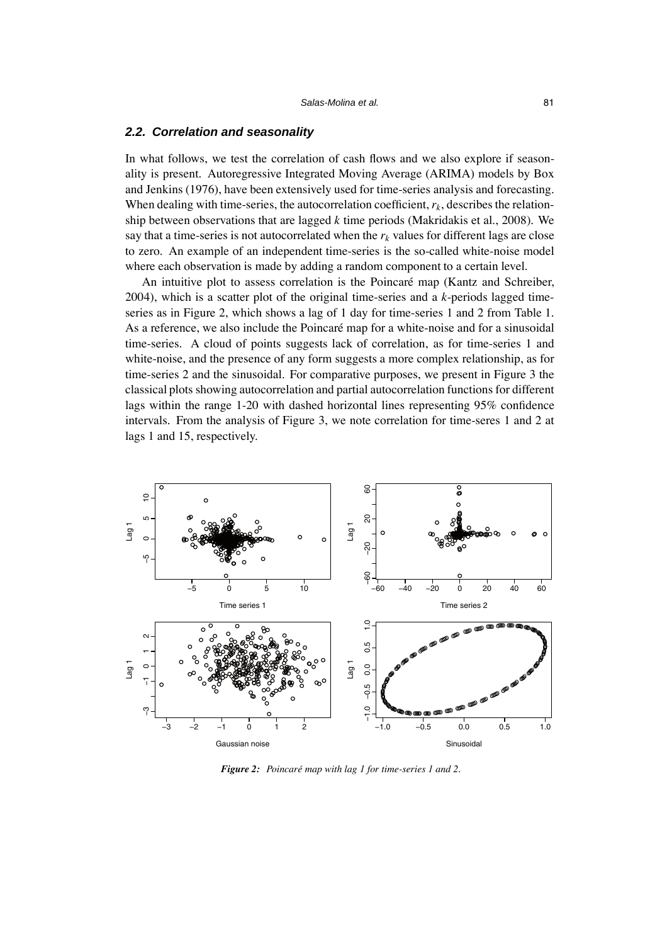#### *2.2. Correlation and seasonality*

In what follows, we test the correlation of cash flows and we also explore if seasonality is present. Autoregressive Integrated Moving Average (ARIMA) models by Box and Jenkins (1976), have been extensively used for time-series analysis and forecasting. When dealing with time-series, the autocorrelation coefficient,  $r_k$ , describes the relationship between observations that are lagged *k* time periods (Makridakis et al., 2008). We say that a time-series is not autocorrelated when the  $r_k$  values for different lags are close to zero. An example of an independent time-series is the so-called white-noise model where each observation is made by adding a random component to a certain level.

An intuitive plot to assess correlation is the Poincaré map (Kantz and Schreiber, 2004), which is a scatter plot of the original time-series and a *k*-periods lagged timeseries as in Figure 2, which shows a lag of 1 day for time-series 1 and 2 from Table 1. As a reference, we also include the Poincaré map for a white-noise and for a sinusoidal time-series. A cloud of points suggests lack of correlation, as for time-series 1 and white-noise, and the presence of any form suggests a more complex relationship, as for time-series 2 and the sinusoidal. For comparative purposes, we present in Figure 3 the classical plots showing autocorrelation and partial autocorrelation functions for different lags within the range 1-20 with dashed horizontal lines representing 95% confidence intervals. From the analysis of Figure 3, we note correlation for time-seres 1 and 2 at lags 1 and 15, respectively.



*Figure 2: Poincaré map with lag 1 for time-series 1 and 2.*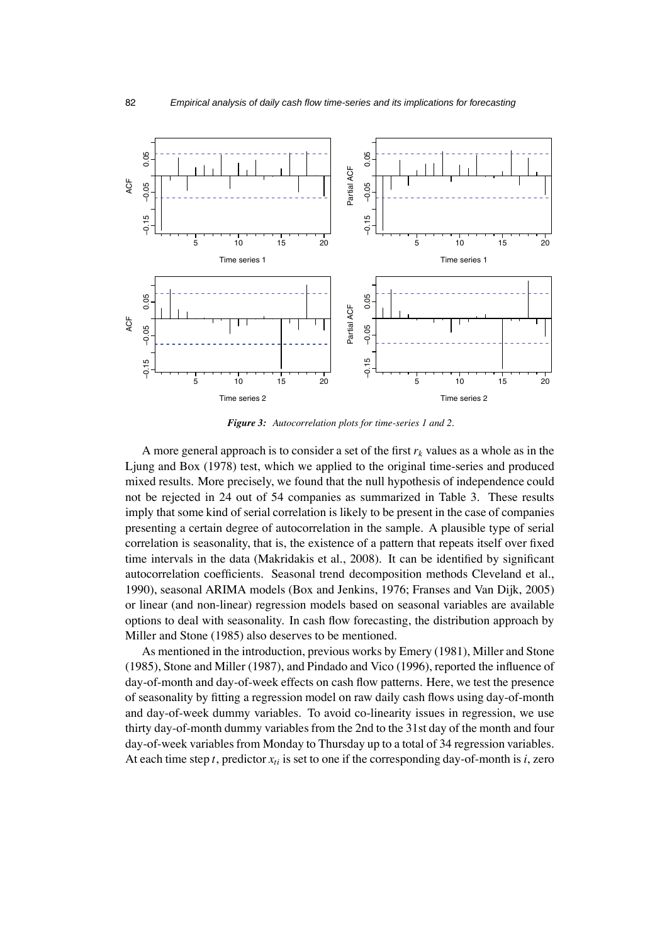

*Figure 3: Autocorrelation plots for time-series 1 and 2.*

A more general approach is to consider a set of the first  $r_k$  values as a whole as in the Ljung and Box (1978) test, which we applied to the original time-series and produced mixed results. More precisely, we found that the null hypothesis of independence could not be rejected in 24 out of 54 companies as summarized in Table 3. These results imply that some kind of serial correlation is likely to be present in the case of companies presenting a certain degree of autocorrelation in the sample. A plausible type of serial correlation is seasonality, that is, the existence of a pattern that repeats itself over fixed time intervals in the data (Makridakis et al., 2008). It can be identified by significant autocorrelation coefficients. Seasonal trend decomposition methods Cleveland et al., 1990), seasonal ARIMA models (Box and Jenkins, 1976; Franses and Van Dijk, 2005) or linear (and non-linear) regression models based on seasonal variables are available options to deal with seasonality. In cash flow forecasting, the distribution approach by Miller and Stone (1985) also deserves to be mentioned.

As mentioned in the introduction, previous works by Emery (1981), Miller and Stone (1985), Stone and Miller (1987), and Pindado and Vico (1996), reported the influence of day-of-month and day-of-week effects on cash flow patterns. Here, we test the presence of seasonality by fitting a regression model on raw daily cash flows using day-of-month and day-of-week dummy variables. To avoid co-linearity issues in regression, we use thirty day-of-month dummy variables from the 2nd to the 31st day of the month and four day-of-week variables from Monday to Thursday up to a total of 34 regression variables. At each time step  $t$ , predictor  $x_{ti}$  is set to one if the corresponding day-of-month is  $i$ , zero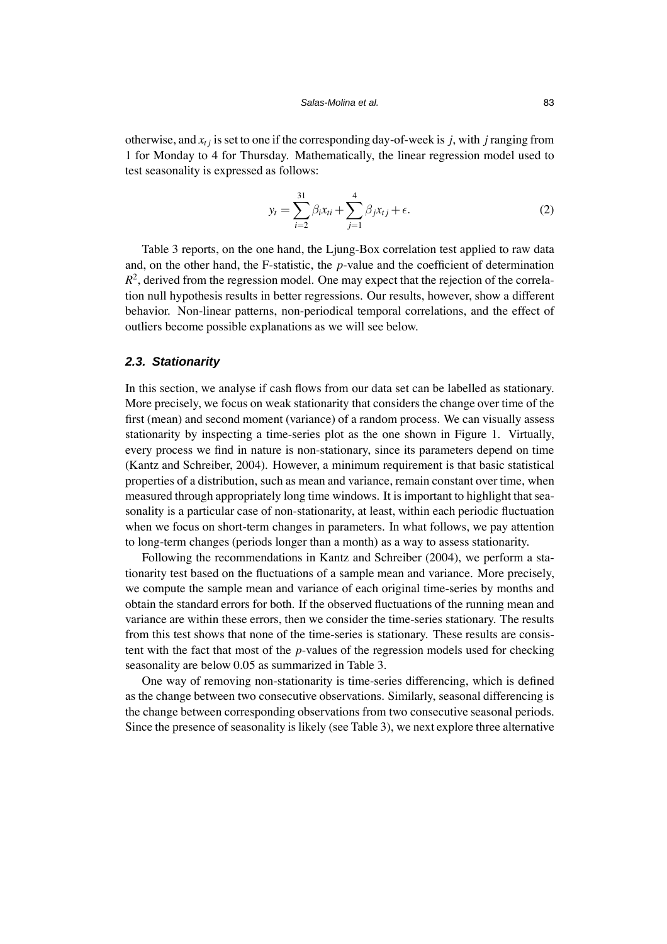otherwise, and  $x_{t}$  is set to one if the corresponding day-of-week is *j*, with *j* ranging from 1 for Monday to 4 for Thursday. Mathematically, the linear regression model used to test seasonality is expressed as follows:

$$
y_{t} = \sum_{i=2}^{31} \beta_{i} x_{ti} + \sum_{j=1}^{4} \beta_{j} x_{tj} + \epsilon.
$$
 (2)

Table 3 reports, on the one hand, the Ljung-Box correlation test applied to raw data and, on the other hand, the F-statistic, the *p*-value and the coefficient of determination  $R<sup>2</sup>$ , derived from the regression model. One may expect that the rejection of the correlation null hypothesis results in better regressions. Our results, however, show a different behavior. Non-linear patterns, non-periodical temporal correlations, and the effect of outliers become possible explanations as we will see below.

#### *2.3. Stationarity*

In this section, we analyse if cash flows from our data set can be labelled as stationary. More precisely, we focus on weak stationarity that considers the change over time of the first (mean) and second moment (variance) of a random process. We can visually assess stationarity by inspecting a time-series plot as the one shown in Figure 1. Virtually, every process we find in nature is non-stationary, since its parameters depend on time (Kantz and Schreiber, 2004). However, a minimum requirement is that basic statistical properties of a distribution, such as mean and variance, remain constant over time, when measured through appropriately long time windows. It is important to highlight that seasonality is a particular case of non-stationarity, at least, within each periodic fluctuation when we focus on short-term changes in parameters. In what follows, we pay attention to long-term changes (periods longer than a month) as a way to assess stationarity.

Following the recommendations in Kantz and Schreiber (2004), we perform a stationarity test based on the fluctuations of a sample mean and variance. More precisely, we compute the sample mean and variance of each original time-series by months and obtain the standard errors for both. If the observed fluctuations of the running mean and variance are within these errors, then we consider the time-series stationary. The results from this test shows that none of the time-series is stationary. These results are consistent with the fact that most of the *p*-values of the regression models used for checking seasonality are below 0.05 as summarized in Table 3.

One way of removing non-stationarity is time-series differencing, which is defined as the change between two consecutive observations. Similarly, seasonal differencing is the change between corresponding observations from two consecutive seasonal periods. Since the presence of seasonality is likely (see Table 3), we next explore three alternative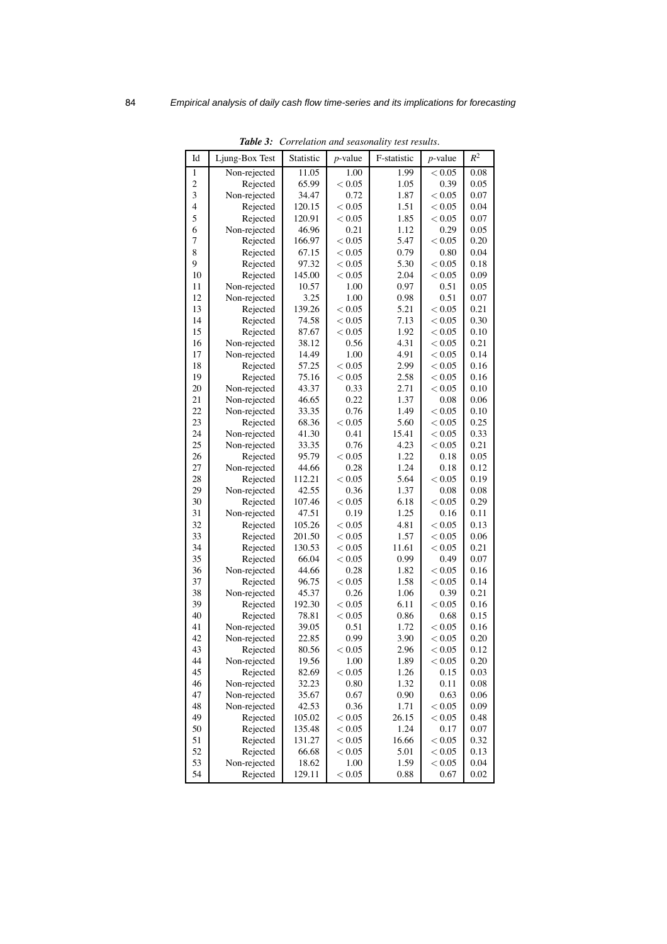| Non-rejected<br>1.00<br>1<br>11.05<br>1.99<br>< 0.05<br>0.08<br>$\overline{\mathbf{c}}$<br>65.99<br>< 0.05<br>0.39<br>0.05<br>Rejected<br>1.05<br>3<br>0.72<br>0.07<br>Non-rejected<br>34.47<br>1.87<br>< 0.05<br>4<br>< 0.05<br>0.04<br>Rejected<br>120.15<br>< 0.05<br>1.51<br>5<br>1.85<br>0.07<br>120.91<br>< 0.05<br>< 0.05<br>Rejected<br>6<br>46.96<br>0.21<br>0.29<br>0.05<br>Non-rejected<br>1.12<br>7<br>< 0.05<br>5.47<br>< 0.05<br>0.20<br>Rejected<br>166.97<br>8<br>0.79<br>0.04<br>Rejected<br>67.15<br>< 0.05<br>0.80<br>9<br>0.18<br>Rejected<br>97.32<br>< 0.05<br>5.30<br>< 0.05<br>10<br>145.00<br>2.04<br>< 0.05<br>0.09<br>Rejected<br>< 0.05<br>11<br>10.57<br>1.00<br>0.97<br>0.51<br>0.05<br>Non-rejected<br>12<br>3.25<br>1.00<br>0.51<br>0.07<br>Non-rejected<br>0.98<br>13<br>139.26<br>< 0.05<br>5.21<br>< 0.05<br>0.21<br>Rejected<br>14<br>7.13<br>$< 0.05$<br>0.30<br>74.58<br>< 0.05<br>Rejected<br>15<br>1.92<br>0.10<br>Rejected<br>87.67<br>< 0.05<br>< 0.05<br>16<br>0.21<br>Non-rejected<br>38.12<br>0.56<br>4.31<br>< 0.05<br>17<br>1.00<br>4.91<br>0.14<br>Non-rejected<br>14.49<br>< 0.05<br>18<br>< 0.05<br>2.99<br>< 0.05<br>0.16<br>Rejected<br>57.25<br>19<br>75.16<br>< 0.05<br>2.58<br>< 0.05<br>0.16<br>Rejected<br>20<br>0.33<br>2.71<br>$< 0.05$<br>0.10<br>Non-rejected<br>43.37<br>21<br>0.22<br>1.37<br>Non-rejected<br>46.65<br>0.08<br>0.06<br>22<br>Non-rejected<br>33.35<br>0.76<br>1.49<br>< 0.05<br>0.10<br>23<br>< 0.05<br>< 0.05<br>0.25<br>Rejected<br>68.36<br>5.60<br>24<br>41.30<br>0.41<br>0.33<br>15.41<br>< 0.05<br>Non-rejected<br>25<br>33.35<br>0.76<br>4.23<br>0.21<br>Non-rejected<br>< 0.05<br>26<br>95.79<br>< 0.05<br>0.05<br>1.22<br>0.18<br>Rejected<br>27<br>0.28<br>1.24<br>0.12<br>44.66<br>0.18<br>Non-rejected<br>28<br>< 0.05<br>Rejected<br>112.21<br>5.64<br>< 0.05<br>0.19<br>29<br>0.36<br>0.08<br>Non-rejected<br>42.55<br>1.37<br>0.08<br>30<br>< 0.05<br>< 0.05<br>0.29<br>Rejected<br>107.46<br>6.18<br>31<br>47.51<br>0.19<br>1.25<br>0.11<br>Non-rejected<br>0.16<br>32<br>105.26<br>< 0.05<br>< 0.05<br>Rejected<br>4.81<br>0.13<br>33<br>1.57<br>0.06<br>Rejected<br>201.50<br>< 0.05<br>< 0.05<br>34<br>130.53<br>0.21<br>< 0.05<br>11.61<br>< 0.05<br>Rejected<br>35<br>0.99<br>Rejected<br>66.04<br>< 0.05<br>0.49<br>0.07<br>36<br>0.28<br>0.16<br>44.66<br>1.82<br>< 0.05<br>Non-rejected<br>37<br>< 0.05<br>Rejected<br>96.75<br>1.58<br>< 0.05<br>0.14<br>38<br>0.26<br>0.39<br>0.21<br>Non-rejected<br>45.37<br>1.06<br>39<br>192.30<br>< 0.05<br>< 0.05<br>0.16<br>Rejected<br>6.11<br>40<br>78.81<br>< 0.05<br>0.86<br>0.68<br>0.15<br>Rejected<br>41<br>Non-rejected<br>39.05<br>0.51<br>1.72<br>< 0.05<br>0.16<br>42<br>22.85<br>0.99<br>< 0.05<br>0.20<br>Non-rejected<br>3.90<br>43<br>Rejected<br>80.56<br>< 0.05<br>2.96<br>< 0.05<br>0.12<br>44<br>Non-rejected<br>19.56<br>1.00<br>1.89<br>< 0.05<br>0.20<br>45<br>Rejected<br>< 0.05<br>1.26<br>0.03<br>82.69<br>0.15<br>46<br>0.80<br>1.32<br>0.08<br>Non-rejected<br>32.23<br>0.11<br>47<br>Non-rejected<br>35.67<br>0.67<br>0.90<br>0.63<br>0.06<br>48<br>42.53<br>0.36<br>0.09<br>Non-rejected<br>1.71<br>< 0.05<br>49<br>Rejected<br>< 0.05<br>26.15<br>0.48<br>105.02<br>< 0.05<br>50<br>Rejected<br>< 0.05<br>1.24<br>0.07<br>135.48<br>0.17<br>51<br>16.66<br>0.32<br>Rejected<br>131.27<br>< 0.05<br>< 0.05<br>52<br>Rejected<br>66.68<br>< 0.05<br>5.01<br>< 0.05<br>0.13<br>53<br>Non-rejected<br>1.00<br>1.59<br>0.04<br>18.62<br>< 0.05 | Id | ravie s.<br>Ljung-Box Test | Statistic | <i>p</i> -value | Corretation and seasonally lest results.<br>F-statistic | <i>p</i> -value | $R^2$ |
|-------------------------------------------------------------------------------------------------------------------------------------------------------------------------------------------------------------------------------------------------------------------------------------------------------------------------------------------------------------------------------------------------------------------------------------------------------------------------------------------------------------------------------------------------------------------------------------------------------------------------------------------------------------------------------------------------------------------------------------------------------------------------------------------------------------------------------------------------------------------------------------------------------------------------------------------------------------------------------------------------------------------------------------------------------------------------------------------------------------------------------------------------------------------------------------------------------------------------------------------------------------------------------------------------------------------------------------------------------------------------------------------------------------------------------------------------------------------------------------------------------------------------------------------------------------------------------------------------------------------------------------------------------------------------------------------------------------------------------------------------------------------------------------------------------------------------------------------------------------------------------------------------------------------------------------------------------------------------------------------------------------------------------------------------------------------------------------------------------------------------------------------------------------------------------------------------------------------------------------------------------------------------------------------------------------------------------------------------------------------------------------------------------------------------------------------------------------------------------------------------------------------------------------------------------------------------------------------------------------------------------------------------------------------------------------------------------------------------------------------------------------------------------------------------------------------------------------------------------------------------------------------------------------------------------------------------------------------------------------------------------------------------------------------------------------------------------------------------------------------------------------------------------------------------------------------------------------------------------------------------------------------------------------------------------------------------------------------------------------------------------------------------------------------------------------------------------------------------------------------------------------------------|----|----------------------------|-----------|-----------------|---------------------------------------------------------|-----------------|-------|
|                                                                                                                                                                                                                                                                                                                                                                                                                                                                                                                                                                                                                                                                                                                                                                                                                                                                                                                                                                                                                                                                                                                                                                                                                                                                                                                                                                                                                                                                                                                                                                                                                                                                                                                                                                                                                                                                                                                                                                                                                                                                                                                                                                                                                                                                                                                                                                                                                                                                                                                                                                                                                                                                                                                                                                                                                                                                                                                                                                                                                                                                                                                                                                                                                                                                                                                                                                                                                                                                                                                         |    |                            |           |                 |                                                         |                 |       |
|                                                                                                                                                                                                                                                                                                                                                                                                                                                                                                                                                                                                                                                                                                                                                                                                                                                                                                                                                                                                                                                                                                                                                                                                                                                                                                                                                                                                                                                                                                                                                                                                                                                                                                                                                                                                                                                                                                                                                                                                                                                                                                                                                                                                                                                                                                                                                                                                                                                                                                                                                                                                                                                                                                                                                                                                                                                                                                                                                                                                                                                                                                                                                                                                                                                                                                                                                                                                                                                                                                                         |    |                            |           |                 |                                                         |                 |       |
|                                                                                                                                                                                                                                                                                                                                                                                                                                                                                                                                                                                                                                                                                                                                                                                                                                                                                                                                                                                                                                                                                                                                                                                                                                                                                                                                                                                                                                                                                                                                                                                                                                                                                                                                                                                                                                                                                                                                                                                                                                                                                                                                                                                                                                                                                                                                                                                                                                                                                                                                                                                                                                                                                                                                                                                                                                                                                                                                                                                                                                                                                                                                                                                                                                                                                                                                                                                                                                                                                                                         |    |                            |           |                 |                                                         |                 |       |
|                                                                                                                                                                                                                                                                                                                                                                                                                                                                                                                                                                                                                                                                                                                                                                                                                                                                                                                                                                                                                                                                                                                                                                                                                                                                                                                                                                                                                                                                                                                                                                                                                                                                                                                                                                                                                                                                                                                                                                                                                                                                                                                                                                                                                                                                                                                                                                                                                                                                                                                                                                                                                                                                                                                                                                                                                                                                                                                                                                                                                                                                                                                                                                                                                                                                                                                                                                                                                                                                                                                         |    |                            |           |                 |                                                         |                 |       |
|                                                                                                                                                                                                                                                                                                                                                                                                                                                                                                                                                                                                                                                                                                                                                                                                                                                                                                                                                                                                                                                                                                                                                                                                                                                                                                                                                                                                                                                                                                                                                                                                                                                                                                                                                                                                                                                                                                                                                                                                                                                                                                                                                                                                                                                                                                                                                                                                                                                                                                                                                                                                                                                                                                                                                                                                                                                                                                                                                                                                                                                                                                                                                                                                                                                                                                                                                                                                                                                                                                                         |    |                            |           |                 |                                                         |                 |       |
|                                                                                                                                                                                                                                                                                                                                                                                                                                                                                                                                                                                                                                                                                                                                                                                                                                                                                                                                                                                                                                                                                                                                                                                                                                                                                                                                                                                                                                                                                                                                                                                                                                                                                                                                                                                                                                                                                                                                                                                                                                                                                                                                                                                                                                                                                                                                                                                                                                                                                                                                                                                                                                                                                                                                                                                                                                                                                                                                                                                                                                                                                                                                                                                                                                                                                                                                                                                                                                                                                                                         |    |                            |           |                 |                                                         |                 |       |
|                                                                                                                                                                                                                                                                                                                                                                                                                                                                                                                                                                                                                                                                                                                                                                                                                                                                                                                                                                                                                                                                                                                                                                                                                                                                                                                                                                                                                                                                                                                                                                                                                                                                                                                                                                                                                                                                                                                                                                                                                                                                                                                                                                                                                                                                                                                                                                                                                                                                                                                                                                                                                                                                                                                                                                                                                                                                                                                                                                                                                                                                                                                                                                                                                                                                                                                                                                                                                                                                                                                         |    |                            |           |                 |                                                         |                 |       |
|                                                                                                                                                                                                                                                                                                                                                                                                                                                                                                                                                                                                                                                                                                                                                                                                                                                                                                                                                                                                                                                                                                                                                                                                                                                                                                                                                                                                                                                                                                                                                                                                                                                                                                                                                                                                                                                                                                                                                                                                                                                                                                                                                                                                                                                                                                                                                                                                                                                                                                                                                                                                                                                                                                                                                                                                                                                                                                                                                                                                                                                                                                                                                                                                                                                                                                                                                                                                                                                                                                                         |    |                            |           |                 |                                                         |                 |       |
|                                                                                                                                                                                                                                                                                                                                                                                                                                                                                                                                                                                                                                                                                                                                                                                                                                                                                                                                                                                                                                                                                                                                                                                                                                                                                                                                                                                                                                                                                                                                                                                                                                                                                                                                                                                                                                                                                                                                                                                                                                                                                                                                                                                                                                                                                                                                                                                                                                                                                                                                                                                                                                                                                                                                                                                                                                                                                                                                                                                                                                                                                                                                                                                                                                                                                                                                                                                                                                                                                                                         |    |                            |           |                 |                                                         |                 |       |
|                                                                                                                                                                                                                                                                                                                                                                                                                                                                                                                                                                                                                                                                                                                                                                                                                                                                                                                                                                                                                                                                                                                                                                                                                                                                                                                                                                                                                                                                                                                                                                                                                                                                                                                                                                                                                                                                                                                                                                                                                                                                                                                                                                                                                                                                                                                                                                                                                                                                                                                                                                                                                                                                                                                                                                                                                                                                                                                                                                                                                                                                                                                                                                                                                                                                                                                                                                                                                                                                                                                         |    |                            |           |                 |                                                         |                 |       |
|                                                                                                                                                                                                                                                                                                                                                                                                                                                                                                                                                                                                                                                                                                                                                                                                                                                                                                                                                                                                                                                                                                                                                                                                                                                                                                                                                                                                                                                                                                                                                                                                                                                                                                                                                                                                                                                                                                                                                                                                                                                                                                                                                                                                                                                                                                                                                                                                                                                                                                                                                                                                                                                                                                                                                                                                                                                                                                                                                                                                                                                                                                                                                                                                                                                                                                                                                                                                                                                                                                                         |    |                            |           |                 |                                                         |                 |       |
|                                                                                                                                                                                                                                                                                                                                                                                                                                                                                                                                                                                                                                                                                                                                                                                                                                                                                                                                                                                                                                                                                                                                                                                                                                                                                                                                                                                                                                                                                                                                                                                                                                                                                                                                                                                                                                                                                                                                                                                                                                                                                                                                                                                                                                                                                                                                                                                                                                                                                                                                                                                                                                                                                                                                                                                                                                                                                                                                                                                                                                                                                                                                                                                                                                                                                                                                                                                                                                                                                                                         |    |                            |           |                 |                                                         |                 |       |
|                                                                                                                                                                                                                                                                                                                                                                                                                                                                                                                                                                                                                                                                                                                                                                                                                                                                                                                                                                                                                                                                                                                                                                                                                                                                                                                                                                                                                                                                                                                                                                                                                                                                                                                                                                                                                                                                                                                                                                                                                                                                                                                                                                                                                                                                                                                                                                                                                                                                                                                                                                                                                                                                                                                                                                                                                                                                                                                                                                                                                                                                                                                                                                                                                                                                                                                                                                                                                                                                                                                         |    |                            |           |                 |                                                         |                 |       |
|                                                                                                                                                                                                                                                                                                                                                                                                                                                                                                                                                                                                                                                                                                                                                                                                                                                                                                                                                                                                                                                                                                                                                                                                                                                                                                                                                                                                                                                                                                                                                                                                                                                                                                                                                                                                                                                                                                                                                                                                                                                                                                                                                                                                                                                                                                                                                                                                                                                                                                                                                                                                                                                                                                                                                                                                                                                                                                                                                                                                                                                                                                                                                                                                                                                                                                                                                                                                                                                                                                                         |    |                            |           |                 |                                                         |                 |       |
|                                                                                                                                                                                                                                                                                                                                                                                                                                                                                                                                                                                                                                                                                                                                                                                                                                                                                                                                                                                                                                                                                                                                                                                                                                                                                                                                                                                                                                                                                                                                                                                                                                                                                                                                                                                                                                                                                                                                                                                                                                                                                                                                                                                                                                                                                                                                                                                                                                                                                                                                                                                                                                                                                                                                                                                                                                                                                                                                                                                                                                                                                                                                                                                                                                                                                                                                                                                                                                                                                                                         |    |                            |           |                 |                                                         |                 |       |
|                                                                                                                                                                                                                                                                                                                                                                                                                                                                                                                                                                                                                                                                                                                                                                                                                                                                                                                                                                                                                                                                                                                                                                                                                                                                                                                                                                                                                                                                                                                                                                                                                                                                                                                                                                                                                                                                                                                                                                                                                                                                                                                                                                                                                                                                                                                                                                                                                                                                                                                                                                                                                                                                                                                                                                                                                                                                                                                                                                                                                                                                                                                                                                                                                                                                                                                                                                                                                                                                                                                         |    |                            |           |                 |                                                         |                 |       |
|                                                                                                                                                                                                                                                                                                                                                                                                                                                                                                                                                                                                                                                                                                                                                                                                                                                                                                                                                                                                                                                                                                                                                                                                                                                                                                                                                                                                                                                                                                                                                                                                                                                                                                                                                                                                                                                                                                                                                                                                                                                                                                                                                                                                                                                                                                                                                                                                                                                                                                                                                                                                                                                                                                                                                                                                                                                                                                                                                                                                                                                                                                                                                                                                                                                                                                                                                                                                                                                                                                                         |    |                            |           |                 |                                                         |                 |       |
|                                                                                                                                                                                                                                                                                                                                                                                                                                                                                                                                                                                                                                                                                                                                                                                                                                                                                                                                                                                                                                                                                                                                                                                                                                                                                                                                                                                                                                                                                                                                                                                                                                                                                                                                                                                                                                                                                                                                                                                                                                                                                                                                                                                                                                                                                                                                                                                                                                                                                                                                                                                                                                                                                                                                                                                                                                                                                                                                                                                                                                                                                                                                                                                                                                                                                                                                                                                                                                                                                                                         |    |                            |           |                 |                                                         |                 |       |
|                                                                                                                                                                                                                                                                                                                                                                                                                                                                                                                                                                                                                                                                                                                                                                                                                                                                                                                                                                                                                                                                                                                                                                                                                                                                                                                                                                                                                                                                                                                                                                                                                                                                                                                                                                                                                                                                                                                                                                                                                                                                                                                                                                                                                                                                                                                                                                                                                                                                                                                                                                                                                                                                                                                                                                                                                                                                                                                                                                                                                                                                                                                                                                                                                                                                                                                                                                                                                                                                                                                         |    |                            |           |                 |                                                         |                 |       |
|                                                                                                                                                                                                                                                                                                                                                                                                                                                                                                                                                                                                                                                                                                                                                                                                                                                                                                                                                                                                                                                                                                                                                                                                                                                                                                                                                                                                                                                                                                                                                                                                                                                                                                                                                                                                                                                                                                                                                                                                                                                                                                                                                                                                                                                                                                                                                                                                                                                                                                                                                                                                                                                                                                                                                                                                                                                                                                                                                                                                                                                                                                                                                                                                                                                                                                                                                                                                                                                                                                                         |    |                            |           |                 |                                                         |                 |       |
|                                                                                                                                                                                                                                                                                                                                                                                                                                                                                                                                                                                                                                                                                                                                                                                                                                                                                                                                                                                                                                                                                                                                                                                                                                                                                                                                                                                                                                                                                                                                                                                                                                                                                                                                                                                                                                                                                                                                                                                                                                                                                                                                                                                                                                                                                                                                                                                                                                                                                                                                                                                                                                                                                                                                                                                                                                                                                                                                                                                                                                                                                                                                                                                                                                                                                                                                                                                                                                                                                                                         |    |                            |           |                 |                                                         |                 |       |
|                                                                                                                                                                                                                                                                                                                                                                                                                                                                                                                                                                                                                                                                                                                                                                                                                                                                                                                                                                                                                                                                                                                                                                                                                                                                                                                                                                                                                                                                                                                                                                                                                                                                                                                                                                                                                                                                                                                                                                                                                                                                                                                                                                                                                                                                                                                                                                                                                                                                                                                                                                                                                                                                                                                                                                                                                                                                                                                                                                                                                                                                                                                                                                                                                                                                                                                                                                                                                                                                                                                         |    |                            |           |                 |                                                         |                 |       |
|                                                                                                                                                                                                                                                                                                                                                                                                                                                                                                                                                                                                                                                                                                                                                                                                                                                                                                                                                                                                                                                                                                                                                                                                                                                                                                                                                                                                                                                                                                                                                                                                                                                                                                                                                                                                                                                                                                                                                                                                                                                                                                                                                                                                                                                                                                                                                                                                                                                                                                                                                                                                                                                                                                                                                                                                                                                                                                                                                                                                                                                                                                                                                                                                                                                                                                                                                                                                                                                                                                                         |    |                            |           |                 |                                                         |                 |       |
|                                                                                                                                                                                                                                                                                                                                                                                                                                                                                                                                                                                                                                                                                                                                                                                                                                                                                                                                                                                                                                                                                                                                                                                                                                                                                                                                                                                                                                                                                                                                                                                                                                                                                                                                                                                                                                                                                                                                                                                                                                                                                                                                                                                                                                                                                                                                                                                                                                                                                                                                                                                                                                                                                                                                                                                                                                                                                                                                                                                                                                                                                                                                                                                                                                                                                                                                                                                                                                                                                                                         |    |                            |           |                 |                                                         |                 |       |
|                                                                                                                                                                                                                                                                                                                                                                                                                                                                                                                                                                                                                                                                                                                                                                                                                                                                                                                                                                                                                                                                                                                                                                                                                                                                                                                                                                                                                                                                                                                                                                                                                                                                                                                                                                                                                                                                                                                                                                                                                                                                                                                                                                                                                                                                                                                                                                                                                                                                                                                                                                                                                                                                                                                                                                                                                                                                                                                                                                                                                                                                                                                                                                                                                                                                                                                                                                                                                                                                                                                         |    |                            |           |                 |                                                         |                 |       |
|                                                                                                                                                                                                                                                                                                                                                                                                                                                                                                                                                                                                                                                                                                                                                                                                                                                                                                                                                                                                                                                                                                                                                                                                                                                                                                                                                                                                                                                                                                                                                                                                                                                                                                                                                                                                                                                                                                                                                                                                                                                                                                                                                                                                                                                                                                                                                                                                                                                                                                                                                                                                                                                                                                                                                                                                                                                                                                                                                                                                                                                                                                                                                                                                                                                                                                                                                                                                                                                                                                                         |    |                            |           |                 |                                                         |                 |       |
|                                                                                                                                                                                                                                                                                                                                                                                                                                                                                                                                                                                                                                                                                                                                                                                                                                                                                                                                                                                                                                                                                                                                                                                                                                                                                                                                                                                                                                                                                                                                                                                                                                                                                                                                                                                                                                                                                                                                                                                                                                                                                                                                                                                                                                                                                                                                                                                                                                                                                                                                                                                                                                                                                                                                                                                                                                                                                                                                                                                                                                                                                                                                                                                                                                                                                                                                                                                                                                                                                                                         |    |                            |           |                 |                                                         |                 |       |
|                                                                                                                                                                                                                                                                                                                                                                                                                                                                                                                                                                                                                                                                                                                                                                                                                                                                                                                                                                                                                                                                                                                                                                                                                                                                                                                                                                                                                                                                                                                                                                                                                                                                                                                                                                                                                                                                                                                                                                                                                                                                                                                                                                                                                                                                                                                                                                                                                                                                                                                                                                                                                                                                                                                                                                                                                                                                                                                                                                                                                                                                                                                                                                                                                                                                                                                                                                                                                                                                                                                         |    |                            |           |                 |                                                         |                 |       |
|                                                                                                                                                                                                                                                                                                                                                                                                                                                                                                                                                                                                                                                                                                                                                                                                                                                                                                                                                                                                                                                                                                                                                                                                                                                                                                                                                                                                                                                                                                                                                                                                                                                                                                                                                                                                                                                                                                                                                                                                                                                                                                                                                                                                                                                                                                                                                                                                                                                                                                                                                                                                                                                                                                                                                                                                                                                                                                                                                                                                                                                                                                                                                                                                                                                                                                                                                                                                                                                                                                                         |    |                            |           |                 |                                                         |                 |       |
|                                                                                                                                                                                                                                                                                                                                                                                                                                                                                                                                                                                                                                                                                                                                                                                                                                                                                                                                                                                                                                                                                                                                                                                                                                                                                                                                                                                                                                                                                                                                                                                                                                                                                                                                                                                                                                                                                                                                                                                                                                                                                                                                                                                                                                                                                                                                                                                                                                                                                                                                                                                                                                                                                                                                                                                                                                                                                                                                                                                                                                                                                                                                                                                                                                                                                                                                                                                                                                                                                                                         |    |                            |           |                 |                                                         |                 |       |
|                                                                                                                                                                                                                                                                                                                                                                                                                                                                                                                                                                                                                                                                                                                                                                                                                                                                                                                                                                                                                                                                                                                                                                                                                                                                                                                                                                                                                                                                                                                                                                                                                                                                                                                                                                                                                                                                                                                                                                                                                                                                                                                                                                                                                                                                                                                                                                                                                                                                                                                                                                                                                                                                                                                                                                                                                                                                                                                                                                                                                                                                                                                                                                                                                                                                                                                                                                                                                                                                                                                         |    |                            |           |                 |                                                         |                 |       |
|                                                                                                                                                                                                                                                                                                                                                                                                                                                                                                                                                                                                                                                                                                                                                                                                                                                                                                                                                                                                                                                                                                                                                                                                                                                                                                                                                                                                                                                                                                                                                                                                                                                                                                                                                                                                                                                                                                                                                                                                                                                                                                                                                                                                                                                                                                                                                                                                                                                                                                                                                                                                                                                                                                                                                                                                                                                                                                                                                                                                                                                                                                                                                                                                                                                                                                                                                                                                                                                                                                                         |    |                            |           |                 |                                                         |                 |       |
|                                                                                                                                                                                                                                                                                                                                                                                                                                                                                                                                                                                                                                                                                                                                                                                                                                                                                                                                                                                                                                                                                                                                                                                                                                                                                                                                                                                                                                                                                                                                                                                                                                                                                                                                                                                                                                                                                                                                                                                                                                                                                                                                                                                                                                                                                                                                                                                                                                                                                                                                                                                                                                                                                                                                                                                                                                                                                                                                                                                                                                                                                                                                                                                                                                                                                                                                                                                                                                                                                                                         |    |                            |           |                 |                                                         |                 |       |
|                                                                                                                                                                                                                                                                                                                                                                                                                                                                                                                                                                                                                                                                                                                                                                                                                                                                                                                                                                                                                                                                                                                                                                                                                                                                                                                                                                                                                                                                                                                                                                                                                                                                                                                                                                                                                                                                                                                                                                                                                                                                                                                                                                                                                                                                                                                                                                                                                                                                                                                                                                                                                                                                                                                                                                                                                                                                                                                                                                                                                                                                                                                                                                                                                                                                                                                                                                                                                                                                                                                         |    |                            |           |                 |                                                         |                 |       |
|                                                                                                                                                                                                                                                                                                                                                                                                                                                                                                                                                                                                                                                                                                                                                                                                                                                                                                                                                                                                                                                                                                                                                                                                                                                                                                                                                                                                                                                                                                                                                                                                                                                                                                                                                                                                                                                                                                                                                                                                                                                                                                                                                                                                                                                                                                                                                                                                                                                                                                                                                                                                                                                                                                                                                                                                                                                                                                                                                                                                                                                                                                                                                                                                                                                                                                                                                                                                                                                                                                                         |    |                            |           |                 |                                                         |                 |       |
|                                                                                                                                                                                                                                                                                                                                                                                                                                                                                                                                                                                                                                                                                                                                                                                                                                                                                                                                                                                                                                                                                                                                                                                                                                                                                                                                                                                                                                                                                                                                                                                                                                                                                                                                                                                                                                                                                                                                                                                                                                                                                                                                                                                                                                                                                                                                                                                                                                                                                                                                                                                                                                                                                                                                                                                                                                                                                                                                                                                                                                                                                                                                                                                                                                                                                                                                                                                                                                                                                                                         |    |                            |           |                 |                                                         |                 |       |
|                                                                                                                                                                                                                                                                                                                                                                                                                                                                                                                                                                                                                                                                                                                                                                                                                                                                                                                                                                                                                                                                                                                                                                                                                                                                                                                                                                                                                                                                                                                                                                                                                                                                                                                                                                                                                                                                                                                                                                                                                                                                                                                                                                                                                                                                                                                                                                                                                                                                                                                                                                                                                                                                                                                                                                                                                                                                                                                                                                                                                                                                                                                                                                                                                                                                                                                                                                                                                                                                                                                         |    |                            |           |                 |                                                         |                 |       |
|                                                                                                                                                                                                                                                                                                                                                                                                                                                                                                                                                                                                                                                                                                                                                                                                                                                                                                                                                                                                                                                                                                                                                                                                                                                                                                                                                                                                                                                                                                                                                                                                                                                                                                                                                                                                                                                                                                                                                                                                                                                                                                                                                                                                                                                                                                                                                                                                                                                                                                                                                                                                                                                                                                                                                                                                                                                                                                                                                                                                                                                                                                                                                                                                                                                                                                                                                                                                                                                                                                                         |    |                            |           |                 |                                                         |                 |       |
|                                                                                                                                                                                                                                                                                                                                                                                                                                                                                                                                                                                                                                                                                                                                                                                                                                                                                                                                                                                                                                                                                                                                                                                                                                                                                                                                                                                                                                                                                                                                                                                                                                                                                                                                                                                                                                                                                                                                                                                                                                                                                                                                                                                                                                                                                                                                                                                                                                                                                                                                                                                                                                                                                                                                                                                                                                                                                                                                                                                                                                                                                                                                                                                                                                                                                                                                                                                                                                                                                                                         |    |                            |           |                 |                                                         |                 |       |
|                                                                                                                                                                                                                                                                                                                                                                                                                                                                                                                                                                                                                                                                                                                                                                                                                                                                                                                                                                                                                                                                                                                                                                                                                                                                                                                                                                                                                                                                                                                                                                                                                                                                                                                                                                                                                                                                                                                                                                                                                                                                                                                                                                                                                                                                                                                                                                                                                                                                                                                                                                                                                                                                                                                                                                                                                                                                                                                                                                                                                                                                                                                                                                                                                                                                                                                                                                                                                                                                                                                         |    |                            |           |                 |                                                         |                 |       |
|                                                                                                                                                                                                                                                                                                                                                                                                                                                                                                                                                                                                                                                                                                                                                                                                                                                                                                                                                                                                                                                                                                                                                                                                                                                                                                                                                                                                                                                                                                                                                                                                                                                                                                                                                                                                                                                                                                                                                                                                                                                                                                                                                                                                                                                                                                                                                                                                                                                                                                                                                                                                                                                                                                                                                                                                                                                                                                                                                                                                                                                                                                                                                                                                                                                                                                                                                                                                                                                                                                                         |    |                            |           |                 |                                                         |                 |       |
|                                                                                                                                                                                                                                                                                                                                                                                                                                                                                                                                                                                                                                                                                                                                                                                                                                                                                                                                                                                                                                                                                                                                                                                                                                                                                                                                                                                                                                                                                                                                                                                                                                                                                                                                                                                                                                                                                                                                                                                                                                                                                                                                                                                                                                                                                                                                                                                                                                                                                                                                                                                                                                                                                                                                                                                                                                                                                                                                                                                                                                                                                                                                                                                                                                                                                                                                                                                                                                                                                                                         |    |                            |           |                 |                                                         |                 |       |
|                                                                                                                                                                                                                                                                                                                                                                                                                                                                                                                                                                                                                                                                                                                                                                                                                                                                                                                                                                                                                                                                                                                                                                                                                                                                                                                                                                                                                                                                                                                                                                                                                                                                                                                                                                                                                                                                                                                                                                                                                                                                                                                                                                                                                                                                                                                                                                                                                                                                                                                                                                                                                                                                                                                                                                                                                                                                                                                                                                                                                                                                                                                                                                                                                                                                                                                                                                                                                                                                                                                         |    |                            |           |                 |                                                         |                 |       |
|                                                                                                                                                                                                                                                                                                                                                                                                                                                                                                                                                                                                                                                                                                                                                                                                                                                                                                                                                                                                                                                                                                                                                                                                                                                                                                                                                                                                                                                                                                                                                                                                                                                                                                                                                                                                                                                                                                                                                                                                                                                                                                                                                                                                                                                                                                                                                                                                                                                                                                                                                                                                                                                                                                                                                                                                                                                                                                                                                                                                                                                                                                                                                                                                                                                                                                                                                                                                                                                                                                                         |    |                            |           |                 |                                                         |                 |       |
|                                                                                                                                                                                                                                                                                                                                                                                                                                                                                                                                                                                                                                                                                                                                                                                                                                                                                                                                                                                                                                                                                                                                                                                                                                                                                                                                                                                                                                                                                                                                                                                                                                                                                                                                                                                                                                                                                                                                                                                                                                                                                                                                                                                                                                                                                                                                                                                                                                                                                                                                                                                                                                                                                                                                                                                                                                                                                                                                                                                                                                                                                                                                                                                                                                                                                                                                                                                                                                                                                                                         |    |                            |           |                 |                                                         |                 |       |
|                                                                                                                                                                                                                                                                                                                                                                                                                                                                                                                                                                                                                                                                                                                                                                                                                                                                                                                                                                                                                                                                                                                                                                                                                                                                                                                                                                                                                                                                                                                                                                                                                                                                                                                                                                                                                                                                                                                                                                                                                                                                                                                                                                                                                                                                                                                                                                                                                                                                                                                                                                                                                                                                                                                                                                                                                                                                                                                                                                                                                                                                                                                                                                                                                                                                                                                                                                                                                                                                                                                         |    |                            |           |                 |                                                         |                 |       |
|                                                                                                                                                                                                                                                                                                                                                                                                                                                                                                                                                                                                                                                                                                                                                                                                                                                                                                                                                                                                                                                                                                                                                                                                                                                                                                                                                                                                                                                                                                                                                                                                                                                                                                                                                                                                                                                                                                                                                                                                                                                                                                                                                                                                                                                                                                                                                                                                                                                                                                                                                                                                                                                                                                                                                                                                                                                                                                                                                                                                                                                                                                                                                                                                                                                                                                                                                                                                                                                                                                                         |    |                            |           |                 |                                                         |                 |       |
|                                                                                                                                                                                                                                                                                                                                                                                                                                                                                                                                                                                                                                                                                                                                                                                                                                                                                                                                                                                                                                                                                                                                                                                                                                                                                                                                                                                                                                                                                                                                                                                                                                                                                                                                                                                                                                                                                                                                                                                                                                                                                                                                                                                                                                                                                                                                                                                                                                                                                                                                                                                                                                                                                                                                                                                                                                                                                                                                                                                                                                                                                                                                                                                                                                                                                                                                                                                                                                                                                                                         |    |                            |           |                 |                                                         |                 |       |
|                                                                                                                                                                                                                                                                                                                                                                                                                                                                                                                                                                                                                                                                                                                                                                                                                                                                                                                                                                                                                                                                                                                                                                                                                                                                                                                                                                                                                                                                                                                                                                                                                                                                                                                                                                                                                                                                                                                                                                                                                                                                                                                                                                                                                                                                                                                                                                                                                                                                                                                                                                                                                                                                                                                                                                                                                                                                                                                                                                                                                                                                                                                                                                                                                                                                                                                                                                                                                                                                                                                         |    |                            |           |                 |                                                         |                 |       |
|                                                                                                                                                                                                                                                                                                                                                                                                                                                                                                                                                                                                                                                                                                                                                                                                                                                                                                                                                                                                                                                                                                                                                                                                                                                                                                                                                                                                                                                                                                                                                                                                                                                                                                                                                                                                                                                                                                                                                                                                                                                                                                                                                                                                                                                                                                                                                                                                                                                                                                                                                                                                                                                                                                                                                                                                                                                                                                                                                                                                                                                                                                                                                                                                                                                                                                                                                                                                                                                                                                                         |    |                            |           |                 |                                                         |                 |       |
|                                                                                                                                                                                                                                                                                                                                                                                                                                                                                                                                                                                                                                                                                                                                                                                                                                                                                                                                                                                                                                                                                                                                                                                                                                                                                                                                                                                                                                                                                                                                                                                                                                                                                                                                                                                                                                                                                                                                                                                                                                                                                                                                                                                                                                                                                                                                                                                                                                                                                                                                                                                                                                                                                                                                                                                                                                                                                                                                                                                                                                                                                                                                                                                                                                                                                                                                                                                                                                                                                                                         |    |                            |           |                 |                                                         |                 |       |
|                                                                                                                                                                                                                                                                                                                                                                                                                                                                                                                                                                                                                                                                                                                                                                                                                                                                                                                                                                                                                                                                                                                                                                                                                                                                                                                                                                                                                                                                                                                                                                                                                                                                                                                                                                                                                                                                                                                                                                                                                                                                                                                                                                                                                                                                                                                                                                                                                                                                                                                                                                                                                                                                                                                                                                                                                                                                                                                                                                                                                                                                                                                                                                                                                                                                                                                                                                                                                                                                                                                         |    |                            |           |                 |                                                         |                 |       |
|                                                                                                                                                                                                                                                                                                                                                                                                                                                                                                                                                                                                                                                                                                                                                                                                                                                                                                                                                                                                                                                                                                                                                                                                                                                                                                                                                                                                                                                                                                                                                                                                                                                                                                                                                                                                                                                                                                                                                                                                                                                                                                                                                                                                                                                                                                                                                                                                                                                                                                                                                                                                                                                                                                                                                                                                                                                                                                                                                                                                                                                                                                                                                                                                                                                                                                                                                                                                                                                                                                                         | 54 | Rejected                   | 129.11    | < 0.05          | 0.88                                                    | 0.67            | 0.02  |

*Table 3: Correlation and seasonality test results.*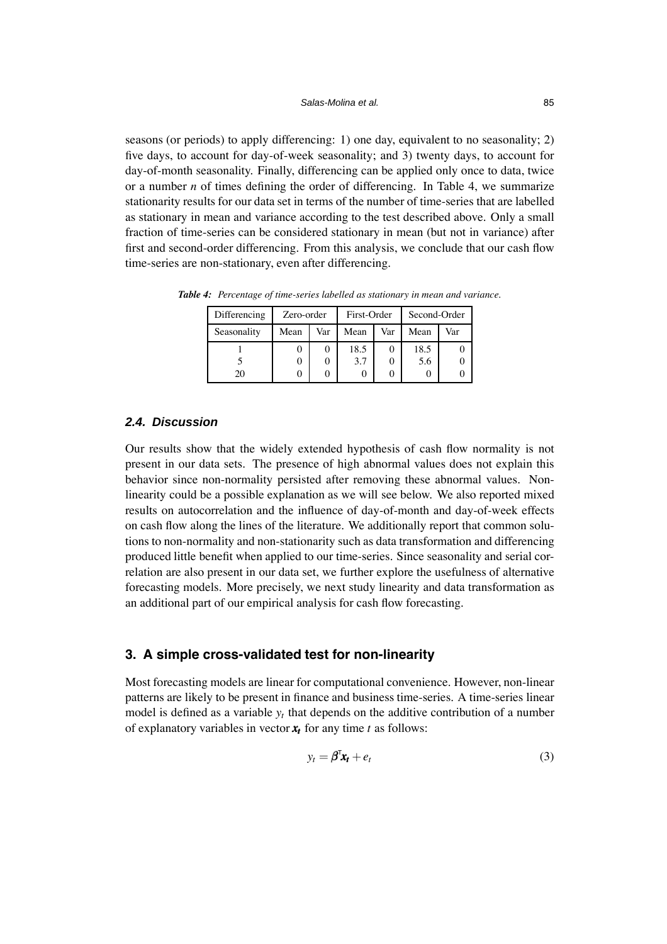seasons (or periods) to apply differencing: 1) one day, equivalent to no seasonality; 2) five days, to account for day-of-week seasonality; and 3) twenty days, to account for day-of-month seasonality. Finally, differencing can be applied only once to data, twice or a number *n* of times defining the order of differencing. In Table 4, we summarize stationarity results for our data set in terms of the number of time-series that are labelled as stationary in mean and variance according to the test described above. Only a small fraction of time-series can be considered stationary in mean (but not in variance) after first and second-order differencing. From this analysis, we conclude that our cash flow time-series are non-stationary, even after differencing.

| Differencing | Zero-order |     | First-Order |     | Second-Order |     |
|--------------|------------|-----|-------------|-----|--------------|-----|
| Seasonality  | Mean       | Var | Mean        | Var | Mean         | Var |
|              | U          |     | 18.5        |     | 18.5         |     |
|              | O          |     | 3.7         |     | 5.6          |     |
| 20           | O          |     |             |     |              |     |

*Table 4: Percentage of time-series labelled as stationary in mean and variance.*

## *2.4. Discussion*

Our results show that the widely extended hypothesis of cash flow normality is not present in our data sets. The presence of high abnormal values does not explain this behavior since non-normality persisted after removing these abnormal values. Nonlinearity could be a possible explanation as we will see below. We also reported mixed results on autocorrelation and the influence of day-of-month and day-of-week effects on cash flow along the lines of the literature. We additionally report that common solutions to non-normality and non-stationarity such as data transformation and differencing produced little benefit when applied to our time-series. Since seasonality and serial correlation are also present in our data set, we further explore the usefulness of alternative forecasting models. More precisely, we next study linearity and data transformation as an additional part of our empirical analysis for cash flow forecasting.

# **3. A simple cross-validated test for non-linearity**

Most forecasting models are linear for computational convenience. However, non-linear patterns are likely to be present in finance and business time-series. A time-series linear model is defined as a variable *yt* that depends on the additive contribution of a number of explanatory variables in vector  $x_t$  for any time *t* as follows:

$$
y_t = \boldsymbol{\beta}^{\mathsf{T}} \mathbf{x}_t + e_t \tag{3}
$$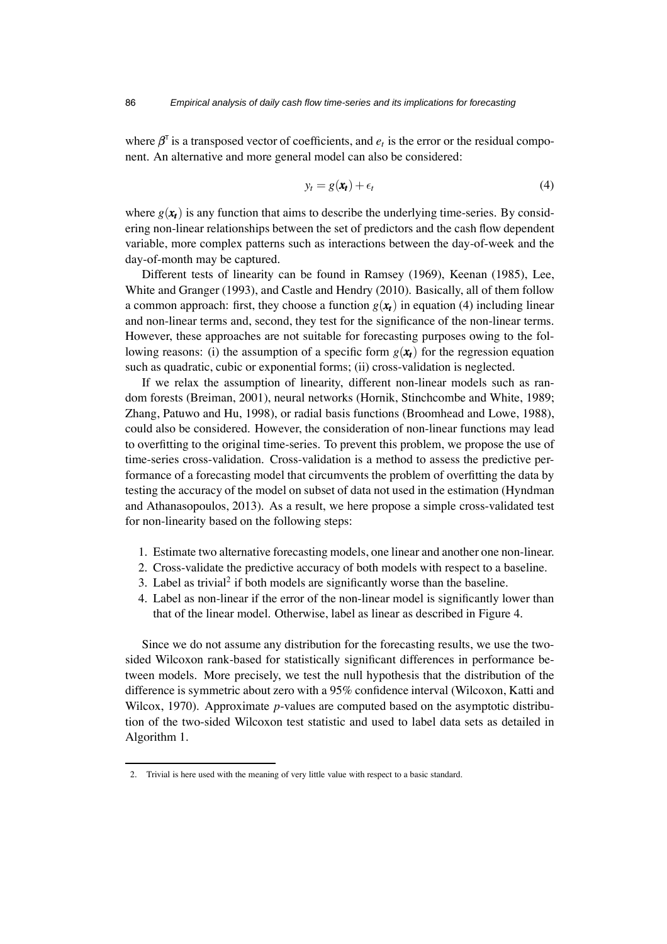where  $\beta^{\dagger}$  is a transposed vector of coefficients, and  $e_t$  is the error or the residual component. An alternative and more general model can also be considered:

<span id="page-13-0"></span>
$$
y_t = g(\mathbf{x}_t) + \epsilon_t \tag{4}
$$

where  $g(\mathbf{x}_t)$  is any function that aims to describe the underlying time-series. By considering non-linear relationships between the set of predictors and the cash flow dependent variable, more complex patterns such as interactions between the day-of-week and the day-of-month may be captured.

Different tests of linearity can be found in Ramsey (1969), Keenan (1985), Lee, White and Granger (1993), and Castle and Hendry (2010). Basically, all of them follow a common approach: first, they choose a function  $g(\mathbf{x}_t)$  in equation [\(4\)](#page-13-0) including linear and non-linear terms and, second, they test for the significance of the non-linear terms. However, these approaches are not suitable for forecasting purposes owing to the following reasons: (i) the assumption of a specific form  $g(x_t)$  for the regression equation such as quadratic, cubic or exponential forms; (ii) cross-validation is neglected.

If we relax the assumption of linearity, different non-linear models such as random forests (Breiman, 2001), neural networks (Hornik, Stinchcombe and White, 1989; Zhang, Patuwo and Hu, 1998), or radial basis functions (Broomhead and Lowe, 1988), could also be considered. However, the consideration of non-linear functions may lead to overfitting to the original time-series. To prevent this problem, we propose the use of time-series cross-validation. Cross-validation is a method to assess the predictive performance of a forecasting model that circumvents the problem of overfitting the data by testing the accuracy of the model on subset of data not used in the estimation (Hyndman and Athanasopoulos, 2013). As a result, we here propose a simple cross-validated test for non-linearity based on the following steps:

- 1. Estimate two alternative forecasting models, one linear and another one non-linear.
- 2. Cross-validate the predictive accuracy of both models with respect to a baseline.
- 3. Label as trivial<sup>2</sup> if both models are significantly worse than the baseline.
- 4. Label as non-linear if the error of the non-linear model is significantly lower than that of the linear model. Otherwise, label as linear as described in Figure 4.

Since we do not assume any distribution for the forecasting results, we use the twosided Wilcoxon rank-based for statistically significant differences in performance between models. More precisely, we test the null hypothesis that the distribution of the difference is symmetric about zero with a 95% confidence interval (Wilcoxon, Katti and Wilcox, 1970). Approximate *p*-values are computed based on the asymptotic distribution of the two-sided Wilcoxon test statistic and used to label data sets as detailed in Algorithm 1.

<sup>2.</sup> Trivial is here used with the meaning of very little value with respect to a basic standard.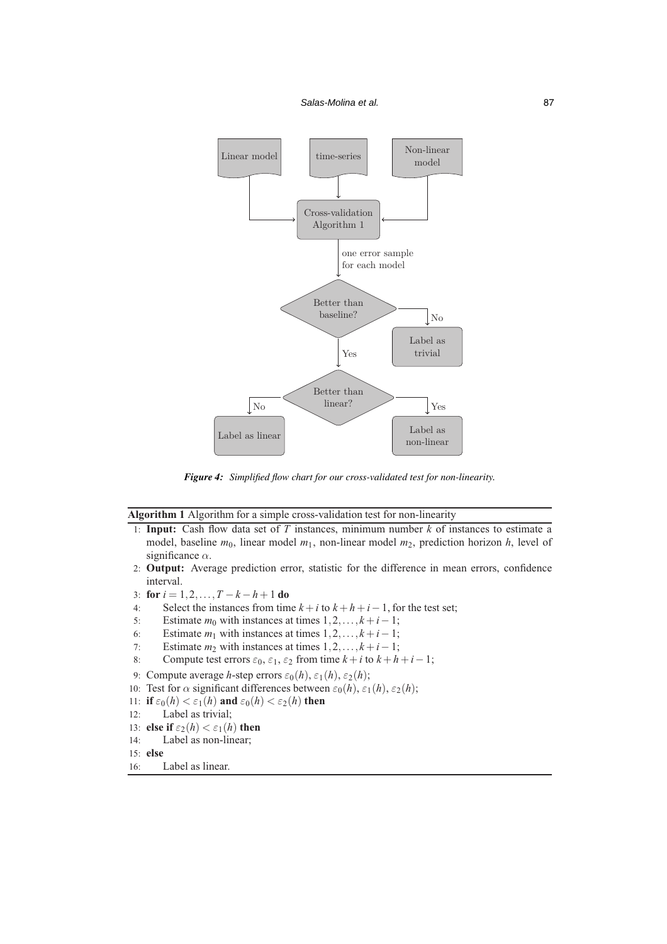

*Figure 4: Simplified flow chart for our cross-validated test for non-linearity.*

**Algorithm 1** Algorithm for a simple cross-validation test for non-linearity

- 1: **Input:** Cash flow data set of *T* instances, minimum number *k* of instances to estimate a model, baseline  $m_0$ , linear model  $m_1$ , non-linear model  $m_2$ , prediction horizon *h*, level of significance  $\alpha$ .
- 2: **Output:** Average prediction error, statistic for the difference in mean errors, confidence interval.
- 3: **for** *i* = 1,2,...,*T* −*k* −*h*+1 **do**
- 4: Select the instances from time  $k + i$  to  $k + h + i 1$ , for the test set;
- 5: Estimate  $m_0$  with instances at times  $1, 2, \ldots, k + i 1$ ;
- 6: Estimate  $m_1$  with instances at times  $1, 2, \ldots, k + i 1$ ;
- 7: Estimate  $m_2$  with instances at times  $1, 2, \ldots, k + i 1$ ;
- 8: Compute test errors  $\varepsilon_0$ ,  $\varepsilon_1$ ,  $\varepsilon_2$  from time  $k + i$  to  $k + h + i 1$ ;
- 9: Compute average *h*-step errors  $\varepsilon_0(h)$ ,  $\varepsilon_1(h)$ ,  $\varepsilon_2(h)$ ;
- 10: Test for  $\alpha$  significant differences between  $\varepsilon_0(h)$ ,  $\varepsilon_1(h)$ ,  $\varepsilon_2(h)$ ;
- 11: **if**  $\varepsilon_0(h) < \varepsilon_1(h)$  and  $\varepsilon_0(h) < \varepsilon_2(h)$  then
- 12: Label as trivial;
- 13: **else if**  $\varepsilon_2(h) < \varepsilon_1(h)$  **then**
- 14: Label as non-linear;
- 15: **else**
- 16: Label as linear.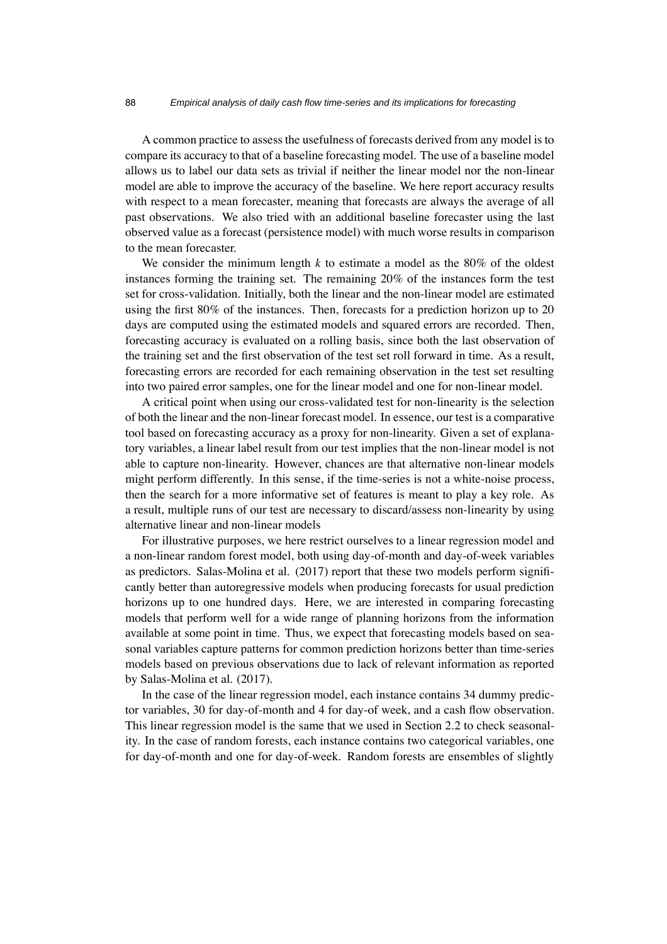A common practice to assess the usefulness of forecasts derived from any model is to compare its accuracy to that of a baseline forecasting model. The use of a baseline model allows us to label our data sets as trivial if neither the linear model nor the non-linear model are able to improve the accuracy of the baseline. We here report accuracy results with respect to a mean forecaster, meaning that forecasts are always the average of all past observations. We also tried with an additional baseline forecaster using the last observed value as a forecast (persistence model) with much worse results in comparison to the mean forecaster.

We consider the minimum length  $k$  to estimate a model as the 80% of the oldest instances forming the training set. The remaining 20% of the instances form the test set for cross-validation. Initially, both the linear and the non-linear model are estimated using the first 80% of the instances. Then, forecasts for a prediction horizon up to 20 days are computed using the estimated models and squared errors are recorded. Then, forecasting accuracy is evaluated on a rolling basis, since both the last observation of the training set and the first observation of the test set roll forward in time. As a result, forecasting errors are recorded for each remaining observation in the test set resulting into two paired error samples, one for the linear model and one for non-linear model.

A critical point when using our cross-validated test for non-linearity is the selection of both the linear and the non-linear forecast model. In essence, our test is a comparative tool based on forecasting accuracy as a proxy for non-linearity. Given a set of explanatory variables, a linear label result from our test implies that the non-linear model is not able to capture non-linearity. However, chances are that alternative non-linear models might perform differently. In this sense, if the time-series is not a white-noise process, then the search for a more informative set of features is meant to play a key role. As a result, multiple runs of our test are necessary to discard/assess non-linearity by using alternative linear and non-linear models

For illustrative purposes, we here restrict ourselves to a linear regression model and a non-linear random forest model, both using day-of-month and day-of-week variables as predictors. Salas-Molina et al. (2017) report that these two models perform significantly better than autoregressive models when producing forecasts for usual prediction horizons up to one hundred days. Here, we are interested in comparing forecasting models that perform well for a wide range of planning horizons from the information available at some point in time. Thus, we expect that forecasting models based on seasonal variables capture patterns for common prediction horizons better than time-series models based on previous observations due to lack of relevant information as reported by Salas-Molina et al. (2017).

In the case of the linear regression model, each instance contains 34 dummy predictor variables, 30 for day-of-month and 4 for day-of week, and a cash flow observation. This linear regression model is the same that we used in Section 2.2 to check seasonality. In the case of random forests, each instance contains two categorical variables, one for day-of-month and one for day-of-week. Random forests are ensembles of slightly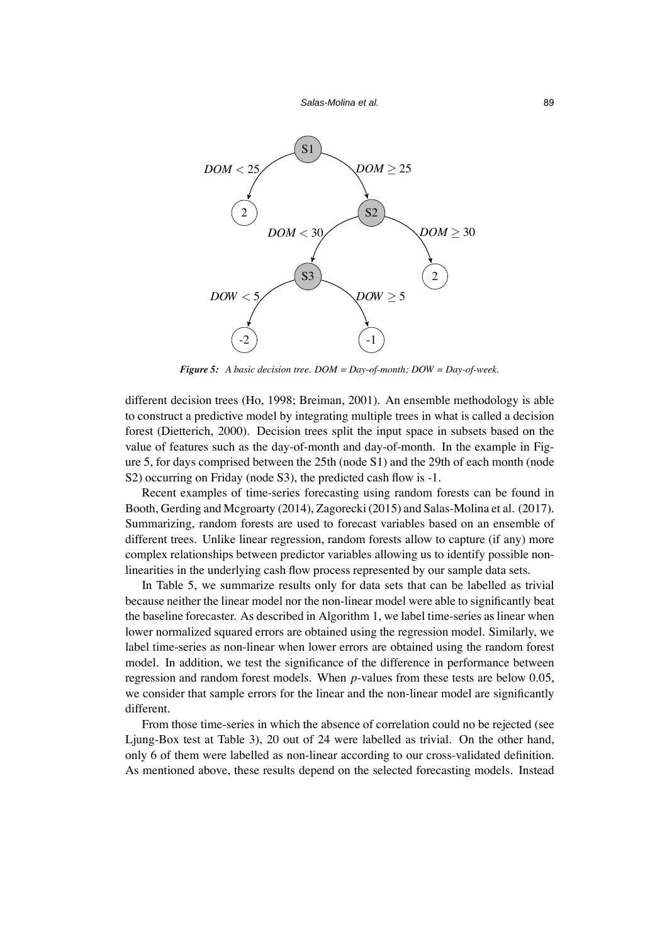*Salas-Molina et al.* 89



*Figure 5: A basic decision tree. DOM = Day-of-month; DOW = Day-of-week.*

different decision trees (Ho, 1998; Breiman, 2001). An ensemble methodology is able to construct a predictive model by integrating multiple trees in what is called a decision forest (Dietterich, 2000). Decision trees split the input space in subsets based on the value of features such as the day-of-month and day-of-month. In the example in Figure 5, for days comprised between the 25th (node S1) and the 29th of each month (node S2) occurring on Friday (node S3), the predicted cash flow is  $-1$ .

Recent examples of time-series forecasting using random forests can be found in Booth, Gerding and Mcgroarty (2014), Zagorecki (2015) and Salas-Molina et al. (2017). Summarizing, random forests are used to forecast variables based on an ensemble of different trees. Unlike linear regression, random forests allow to capture (if any) more complex relationships between predictor variables allowing us to identify possible nonlinearities in the underlying cash flow process represented by our sample data sets.

In Table 5, we summarize results only for data sets that can be labelled as trivial because neither the linear model nor the non-linear model were able to significantly beat the baseline forecaster. As described in Algorithm 1, we label time-series as linear when lower normalized squared errors are obtained using the regression model. Similarly, we label time-series as non-linear when lower errors are obtained using the random forest model. In addition, we test the significance of the difference in performance between regression and random forest models. When *p*-values from these tests are below 0.05, we consider that sample errors for the linear and the non-linear model are significantly different.

From those time-series in which the absence of correlation could no be rejected (see Ljung-Box test at Table 3), 20 out of 24 were labelled as trivial. On the other hand, only 6 of them were labelled as non-linear according to our cross-validated definition. As mentioned above, these results depend on the selected forecasting models. Instead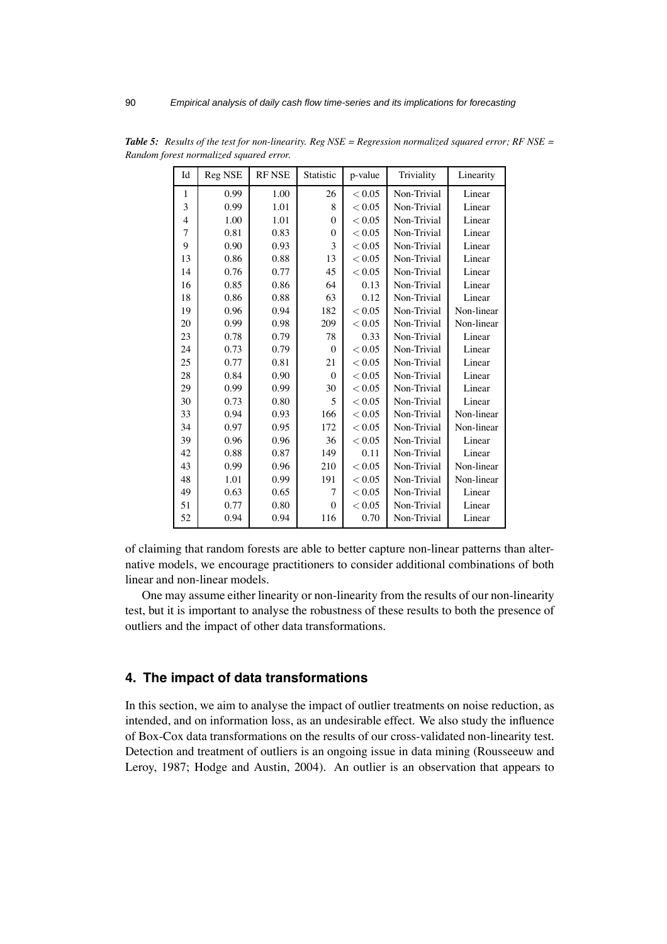| Id           | Reg NSE | <b>RF NSE</b> | Statistic      | p-value | Triviality  | Linearity  |
|--------------|---------|---------------|----------------|---------|-------------|------------|
| $\mathbf{1}$ | 0.99    | 1.00          | 26             | < 0.05  | Non-Trivial | Linear     |
| 3            | 0.99    | 1.01          | 8              | < 0.05  | Non-Trivial | Linear     |
| 4            | 1.00    | 1.01          | $\Omega$       | < 0.05  | Non-Trivial | Linear     |
| 7            | 0.81    | 0.83          | $\Omega$       | < 0.05  | Non-Trivial | Linear     |
| 9            | 0.90    | 0.93          | 3              | < 0.05  | Non-Trivial | Linear     |
| 13           | 0.86    | 0.88          | 13             | < 0.05  | Non-Trivial | Linear     |
| 14           | 0.76    | 0.77          | 45             | < 0.05  | Non-Trivial | Linear     |
| 16           | 0.85    | 0.86          | 64             | 0.13    | Non-Trivial | Linear     |
| 18           | 0.86    | 0.88          | 63             | 0.12    | Non-Trivial | Linear     |
| 19           | 0.96    | 0.94          | 182            | < 0.05  | Non-Trivial | Non-linear |
| 20           | 0.99    | 0.98          | 209            | < 0.05  | Non-Trivial | Non-linear |
| 23           | 0.78    | 0.79          | 78             | 0.33    | Non-Trivial | Linear     |
| 24           | 0.73    | 0.79          | $\Omega$       | < 0.05  | Non-Trivial | Linear     |
| 25           | 0.77    | 0.81          | 21             | < 0.05  | Non-Trivial | Linear     |
| 28           | 0.84    | 0.90          | $\Omega$       | < 0.05  | Non-Trivial | Linear     |
| 29           | 0.99    | 0.99          | 30             | < 0.05  | Non-Trivial | Linear     |
| 30           | 0.73    | 0.80          | $\overline{5}$ | < 0.05  | Non-Trivial | Linear     |
| 33           | 0.94    | 0.93          | 166            | < 0.05  | Non-Trivial | Non-linear |
| 34           | 0.97    | 0.95          | 172            | < 0.05  | Non-Trivial | Non-linear |
| 39           | 0.96    | 0.96          | 36             | < 0.05  | Non-Trivial | Linear     |
| 42           | 0.88    | 0.87          | 149            | 0.11    | Non-Trivial | Linear     |
| 43           | 0.99    | 0.96          | 210            | < 0.05  | Non-Trivial | Non-linear |
| 48           | 1.01    | 0.99          | 191            | < 0.05  | Non-Trivial | Non-linear |
| 49           | 0.63    | 0.65          | 7              | < 0.05  | Non-Trivial | Linear     |
| 51           | 0.77    | 0.80          | $\Omega$       | < 0.05  | Non-Trivial | Linear     |
| 52           | 0.94    | 0.94          | 116            | 0.70    | Non-Trivial | Linear     |

*Table 5: Results of the test for non-linearity. Reg NSE = Regression normalized squared error; RF NSE = Random forest normalized squared error.*

of claiming that random forests are able to better capture non-linear patterns than alternative models, we encourage practitioners to consider additional combinations of both linear and non-linear models.

One may assume either linearity or non-linearity from the results of our non-linearity test, but it is important to analyse the robustness of these results to both the presence of outliers and the impact of other data transformations.

# **4. The impact of data transformations**

In this section, we aim to analyse the impact of outlier treatments on noise reduction, as intended, and on information loss, as an undesirable effect. We also study the influence of Box-Cox data transformations on the results of our cross-validated non-linearity test. Detection and treatment of outliers is an ongoing issue in data mining (Rousseeuw and Leroy, 1987; Hodge and Austin, 2004). An outlier is an observation that appears to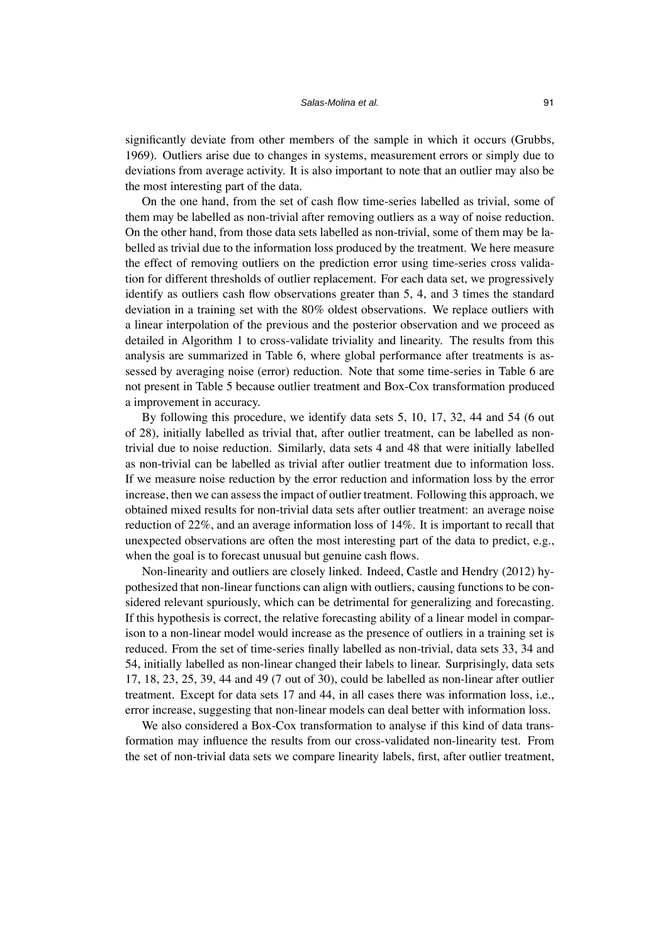significantly deviate from other members of the sample in which it occurs (Grubbs, 1969). Outliers arise due to changes in systems, measurement errors or simply due to deviations from average activity. It is also important to note that an outlier may also be the most interesting part of the data.

On the one hand, from the set of cash flow time-series labelled as trivial, some of them may be labelled as non-trivial after removing outliers as a way of noise reduction. On the other hand, from those data sets labelled as non-trivial, some of them may be labelled as trivial due to the information loss produced by the treatment. We here measure the effect of removing outliers on the prediction error using time-series cross validation for different thresholds of outlier replacement. For each data set, we progressively identify as outliers cash flow observations greater than 5, 4, and 3 times the standard deviation in a training set with the 80% oldest observations. We replace outliers with a linear interpolation of the previous and the posterior observation and we proceed as detailed in Algorithm 1 to cross-validate triviality and linearity. The results from this analysis are summarized in Table 6, where global performance after treatments is assessed by averaging noise (error) reduction. Note that some time-series in Table 6 are not present in Table 5 because outlier treatment and Box-Cox transformation produced a improvement in accuracy.

By following this procedure, we identify data sets 5, 10, 17, 32, 44 and 54 (6 out of 28), initially labelled as trivial that, after outlier treatment, can be labelled as nontrivial due to noise reduction. Similarly, data sets 4 and 48 that were initially labelled as non-trivial can be labelled as trivial after outlier treatment due to information loss. If we measure noise reduction by the error reduction and information loss by the error increase, then we can assess the impact of outlier treatment. Following this approach, we obtained mixed results for non-trivial data sets after outlier treatment: an average noise reduction of 22%, and an average information loss of 14%. It is important to recall that unexpected observations are often the most interesting part of the data to predict, e.g., when the goal is to forecast unusual but genuine cash flows.

Non-linearity and outliers are closely linked. Indeed, Castle and Hendry (2012) hypothesized that non-linear functions can align with outliers, causing functions to be considered relevant spuriously, which can be detrimental for generalizing and forecasting. If this hypothesis is correct, the relative forecasting ability of a linear model in comparison to a non-linear model would increase as the presence of outliers in a training set is reduced. From the set of time-series finally labelled as non-trivial, data sets 33, 34 and 54, initially labelled as non-linear changed their labels to linear. Surprisingly, data sets 17, 18, 23, 25, 39, 44 and 49 (7 out of 30), could be labelled as non-linear after outlier treatment. Except for data sets 17 and 44, in all cases there was information loss, i.e., error increase, suggesting that non-linear models can deal better with information loss.

We also considered a Box-Cox transformation to analyse if this kind of data transformation may influence the results from our cross-validated non-linearity test. From the set of non-trivial data sets we compare linearity labels, first, after outlier treatment,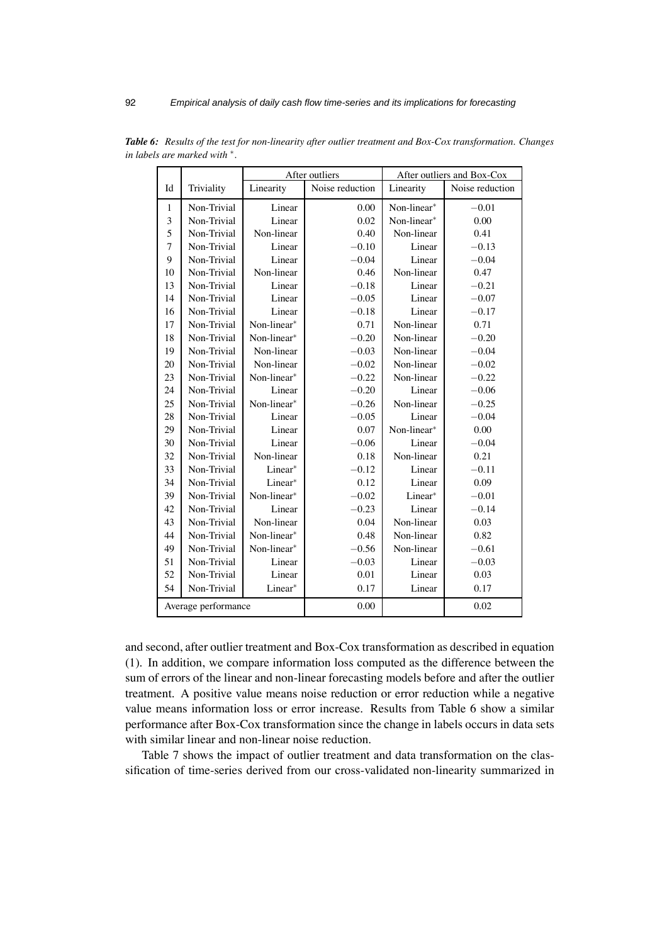|              |                     |             | After outliers  | After outliers and Box-Cox |                 |  |
|--------------|---------------------|-------------|-----------------|----------------------------|-----------------|--|
| Id           | Triviality          | Linearity   | Noise reduction | Linearity                  | Noise reduction |  |
| $\mathbf{1}$ | Non-Trivial         | Linear      | 0.00            | Non-linear*                | $-0.01$         |  |
| 3            | Non-Trivial         | Linear      | 0.02            | Non-linear*                | 0.00            |  |
| 5            | Non-Trivial         | Non-linear  | 0.40            | Non-linear                 | 0.41            |  |
| 7            | Non-Trivial         | Linear      | $-0.10$         | Linear                     | $-0.13$         |  |
| 9            | Non-Trivial         | Linear      | $-0.04$         | Linear                     | $-0.04$         |  |
| 10           | Non-Trivial         | Non-linear  | 0.46            | Non-linear                 | 0.47            |  |
| 13           | Non-Trivial         | Linear      | $-0.18$         | Linear                     | $-0.21$         |  |
| 14           | Non-Trivial         | Linear      | $-0.05$         | Linear                     | $-0.07$         |  |
| 16           | Non-Trivial         | Linear      | $-0.18$         | Linear                     | $-0.17$         |  |
| 17           | Non-Trivial         | Non-linear* | 0.71            | Non-linear                 | 0.71            |  |
| 18           | Non-Trivial         | Non-linear* | $-0.20$         | Non-linear                 | $-0.20$         |  |
| 19           | Non-Trivial         | Non-linear  | $-0.03$         | Non-linear                 | $-0.04$         |  |
| 20           | Non-Trivial         | Non-linear  | $-0.02$         | Non-linear                 | $-0.02$         |  |
| 23           | Non-Trivial         | Non-linear* | $-0.22$         | Non-linear                 | $-0.22$         |  |
| 24           | Non-Trivial         | Linear      | $-0.20$         | Linear                     | $-0.06$         |  |
| 25           | Non-Trivial         | Non-linear* | $-0.26$         | Non-linear                 | $-0.25$         |  |
| 28           | Non-Trivial         | Linear      | $-0.05$         | Linear                     | $-0.04$         |  |
| 29           | Non-Trivial         | Linear      | 0.07            | Non-linear*                | 0.00            |  |
| 30           | Non-Trivial         | Linear      | $-0.06$         | Linear                     | $-0.04$         |  |
| 32           | Non-Trivial         | Non-linear  | 0.18            | Non-linear                 | 0.21            |  |
| 33           | Non-Trivial         | Linear*     | $-0.12$         | Linear                     | $-0.11$         |  |
| 34           | Non-Trivial         | Linear*     | 0.12            | Linear                     | 0.09            |  |
| 39           | Non-Trivial         | Non-linear* | $-0.02$         | Linear*                    | $-0.01$         |  |
| 42           | Non-Trivial         | Linear      | $-0.23$         | Linear                     | $-0.14$         |  |
| 43           | Non-Trivial         | Non-linear  | 0.04            | Non-linear                 | 0.03            |  |
| 44           | Non-Trivial         | Non-linear* | 0.48            | Non-linear                 | 0.82            |  |
| 49           | Non-Trivial         | Non-linear* | $-0.56$         | Non-linear                 | $-0.61$         |  |
| 51           | Non-Trivial         | Linear      | $-0.03$         | Linear                     | $-0.03$         |  |
| 52           | Non-Trivial         | Linear      | 0.01            | Linear                     | 0.03            |  |
| 54           | Non-Trivial         | Linear*     | 0.17            | Linear                     | 0.17            |  |
|              | Average performance |             | 0.00            |                            | 0.02            |  |

*Table 6: Results of the test for non-linearity after outlier treatment and Box-Cox transformation. Changes in labels are marked with* ∗*.*

and second, after outlier treatment and Box-Cox transformation as described in equation [\(1\)](#page-6-0). In addition, we compare information loss computed as the difference between the sum of errors of the linear and non-linear forecasting models before and after the outlier treatment. A positive value means noise reduction or error reduction while a negative value means information loss or error increase. Results from Table 6 show a similar performance after Box-Cox transformation since the change in labels occurs in data sets with similar linear and non-linear noise reduction.

Table 7 shows the impact of outlier treatment and data transformation on the classification of time-series derived from our cross-validated non-linearity summarized in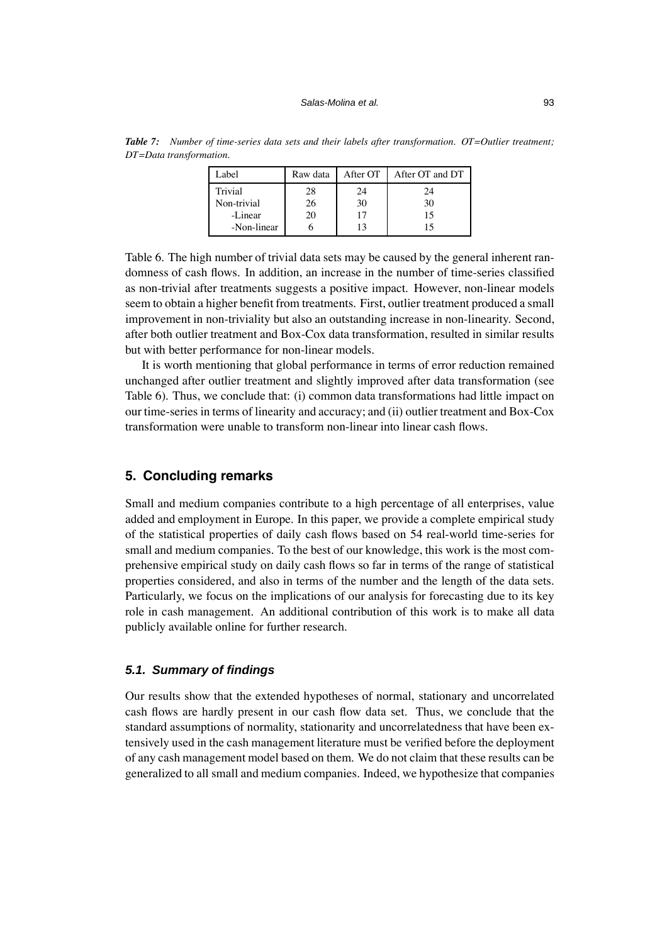| Label       | Raw data | After OT | After OT and DT |
|-------------|----------|----------|-----------------|
| Trivial     | 28       | 24       | 24              |
| Non-trivial | 26       | 30       | 30              |
| -Linear     | 20       | 17       | 15              |
| -Non-linear |          | 13       | 15              |

*Table 7: Number of time-series data sets and their labels after transformation. OT=Outlier treatment; DT=Data transformation.*

Table 6. The high number of trivial data sets may be caused by the general inherent randomness of cash flows. In addition, an increase in the number of time-series classified as non-trivial after treatments suggests a positive impact. However, non-linear models seem to obtain a higher benefit from treatments. First, outlier treatment produced a small improvement in non-triviality but also an outstanding increase in non-linearity. Second, after both outlier treatment and Box-Cox data transformation, resulted in similar results but with better performance for non-linear models.

It is worth mentioning that global performance in terms of error reduction remained unchanged after outlier treatment and slightly improved after data transformation (see Table 6). Thus, we conclude that: (i) common data transformations had little impact on our time-series in terms of linearity and accuracy; and (ii) outlier treatment and Box-Cox transformation were unable to transform non-linear into linear cash flows.

## **5. Concluding remarks**

Small and medium companies contribute to a high percentage of all enterprises, value added and employment in Europe. In this paper, we provide a complete empirical study of the statistical properties of daily cash flows based on 54 real-world time-series for small and medium companies. To the best of our knowledge, this work is the most comprehensive empirical study on daily cash flows so far in terms of the range of statistical properties considered, and also in terms of the number and the length of the data sets. Particularly, we focus on the implications of our analysis for forecasting due to its key role in cash management. An additional contribution of this work is to make all data publicly available online for further research.

#### *5.1. Summary of findings*

Our results show that the extended hypotheses of normal, stationary and uncorrelated cash flows are hardly present in our cash flow data set. Thus, we conclude that the standard assumptions of normality, stationarity and uncorrelatedness that have been extensively used in the cash management literature must be verified before the deployment of any cash management model based on them. We do not claim that these results can be generalized to all small and medium companies. Indeed, we hypothesize that companies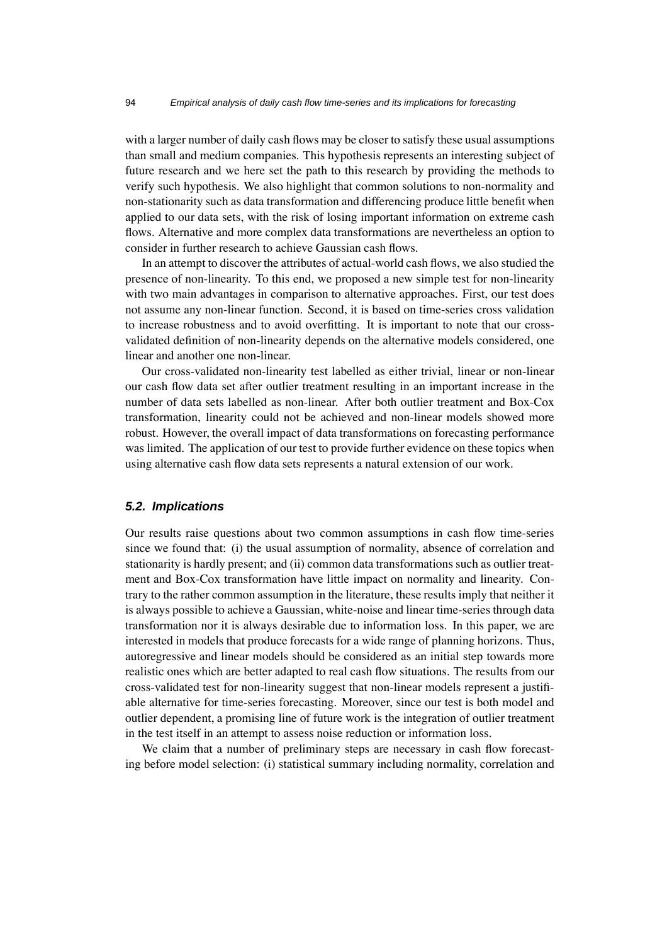with a larger number of daily cash flows may be closer to satisfy these usual assumptions than small and medium companies. This hypothesis represents an interesting subject of future research and we here set the path to this research by providing the methods to verify such hypothesis. We also highlight that common solutions to non-normality and non-stationarity such as data transformation and differencing produce little benefit when applied to our data sets, with the risk of losing important information on extreme cash flows. Alternative and more complex data transformations are nevertheless an option to consider in further research to achieve Gaussian cash flows.

In an attempt to discover the attributes of actual-world cash flows, we also studied the presence of non-linearity. To this end, we proposed a new simple test for non-linearity with two main advantages in comparison to alternative approaches. First, our test does not assume any non-linear function. Second, it is based on time-series cross validation to increase robustness and to avoid overfitting. It is important to note that our crossvalidated definition of non-linearity depends on the alternative models considered, one linear and another one non-linear.

Our cross-validated non-linearity test labelled as either trivial, linear or non-linear our cash flow data set after outlier treatment resulting in an important increase in the number of data sets labelled as non-linear. After both outlier treatment and Box-Cox transformation, linearity could not be achieved and non-linear models showed more robust. However, the overall impact of data transformations on forecasting performance was limited. The application of our test to provide further evidence on these topics when using alternative cash flow data sets represents a natural extension of our work.

#### *5.2. Implications*

Our results raise questions about two common assumptions in cash flow time-series since we found that: (i) the usual assumption of normality, absence of correlation and stationarity is hardly present; and (ii) common data transformations such as outlier treatment and Box-Cox transformation have little impact on normality and linearity. Contrary to the rather common assumption in the literature, these results imply that neither it is always possible to achieve a Gaussian, white-noise and linear time-series through data transformation nor it is always desirable due to information loss. In this paper, we are interested in models that produce forecasts for a wide range of planning horizons. Thus, autoregressive and linear models should be considered as an initial step towards more realistic ones which are better adapted to real cash flow situations. The results from our cross-validated test for non-linearity suggest that non-linear models represent a justifiable alternative for time-series forecasting. Moreover, since our test is both model and outlier dependent, a promising line of future work is the integration of outlier treatment in the test itself in an attempt to assess noise reduction or information loss.

We claim that a number of preliminary steps are necessary in cash flow forecasting before model selection: (i) statistical summary including normality, correlation and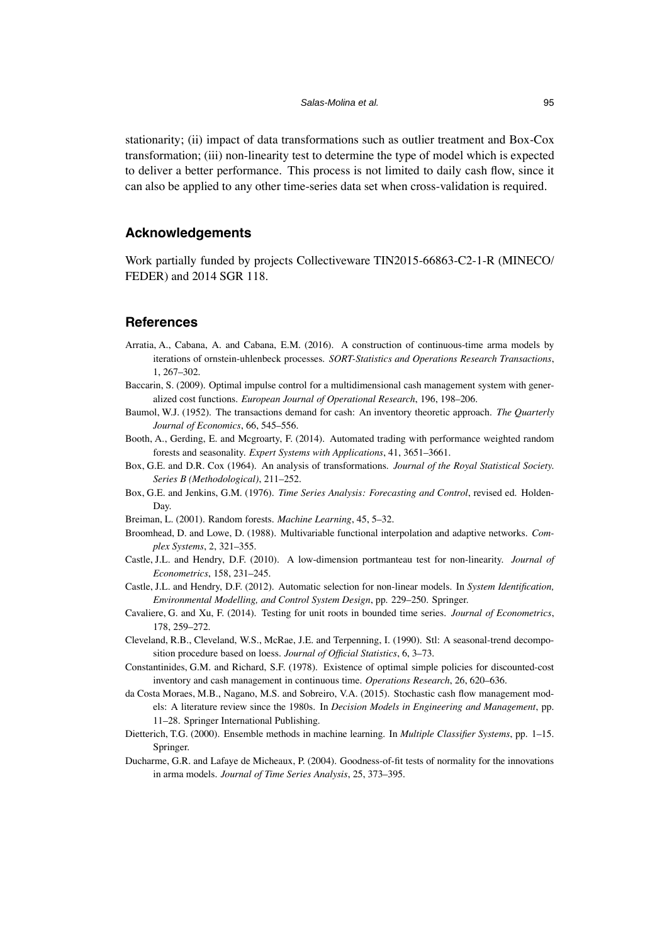stationarity; (ii) impact of data transformations such as outlier treatment and Box-Cox transformation; (iii) non-linearity test to determine the type of model which is expected to deliver a better performance. This process is not limited to daily cash flow, since it can also be applied to any other time-series data set when cross-validation is required.

## **Acknowledgements**

Work partially funded by projects Collectiveware TIN2015-66863-C2-1-R (MINECO/ FEDER) and 2014 SGR 118.

#### **References**

- Arratia, A., Cabana, A. and Cabana, E.M. (2016). A construction of continuous-time arma models by iterations of ornstein-uhlenbeck processes. *SORT-Statistics and Operations Research Transactions*, 1, 267–302.
- Baccarin, S. (2009). Optimal impulse control for a multidimensional cash management system with generalized cost functions. *European Journal of Operational Research*, 196, 198–206.
- Baumol, W.J. (1952). The transactions demand for cash: An inventory theoretic approach. *The Quarterly Journal of Economics*, 66, 545–556.
- Booth, A., Gerding, E. and Mcgroarty, F. (2014). Automated trading with performance weighted random forests and seasonality. *Expert Systems with Applications*, 41, 3651–3661.
- Box, G.E. and D.R. Cox (1964). An analysis of transformations. *Journal of the Royal Statistical Society. Series B (Methodological)*, 211–252.
- Box, G.E. and Jenkins, G.M. (1976). *Time Series Analysis: Forecasting and Control*, revised ed. Holden-Day.
- Breiman, L. (2001). Random forests. *Machine Learning*, 45, 5–32.
- Broomhead, D. and Lowe, D. (1988). Multivariable functional interpolation and adaptive networks. *Complex Systems*, 2, 321–355.
- Castle, J.L. and Hendry, D.F. (2010). A low-dimension portmanteau test for non-linearity. *Journal of Econometrics*, 158, 231–245.
- Castle, J.L. and Hendry, D.F. (2012). Automatic selection for non-linear models. In *System Identification, Environmental Modelling, and Control System Design*, pp. 229–250. Springer.
- Cavaliere, G. and Xu, F. (2014). Testing for unit roots in bounded time series. *Journal of Econometrics*, 178, 259–272.
- Cleveland, R.B., Cleveland, W.S., McRae, J.E. and Terpenning, I. (1990). Stl: A seasonal-trend decomposition procedure based on loess. *Journal of Official Statistics*, 6, 3–73.
- Constantinides, G.M. and Richard, S.F. (1978). Existence of optimal simple policies for discounted-cost inventory and cash management in continuous time. *Operations Research*, 26, 620–636.
- da Costa Moraes, M.B., Nagano, M.S. and Sobreiro, V.A. (2015). Stochastic cash flow management models: A literature review since the 1980s. In *Decision Models in Engineering and Management*, pp. 11–28. Springer International Publishing.
- Dietterich, T.G. (2000). Ensemble methods in machine learning. In *Multiple Classifier Systems*, pp. 1–15. Springer.
- Ducharme, G.R. and Lafaye de Micheaux, P. (2004). Goodness-of-fit tests of normality for the innovations in arma models. *Journal of Time Series Analysis*, 25, 373–395.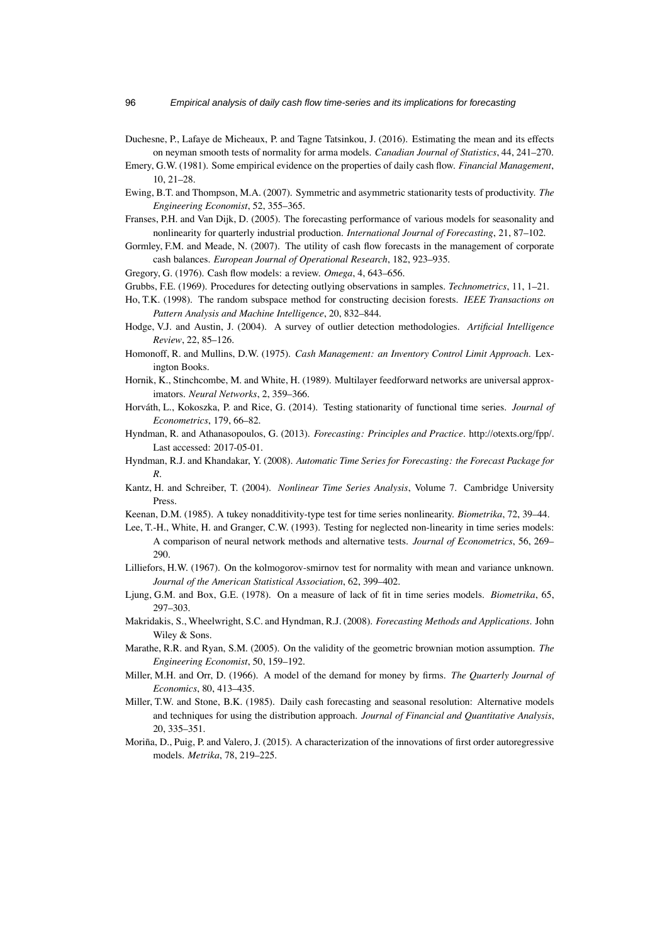- Duchesne, P., Lafaye de Micheaux, P. and Tagne Tatsinkou, J. (2016). Estimating the mean and its effects on neyman smooth tests of normality for arma models. *Canadian Journal of Statistics*, 44, 241–270.
- Emery, G.W. (1981). Some empirical evidence on the properties of daily cash flow. *Financial Management*, 10, 21–28.
- Ewing, B.T. and Thompson, M.A. (2007). Symmetric and asymmetric stationarity tests of productivity. *The Engineering Economist*, 52, 355–365.
- Franses, P.H. and Van Dijk, D. (2005). The forecasting performance of various models for seasonality and nonlinearity for quarterly industrial production. *International Journal of Forecasting*, 21, 87–102.
- Gormley, F.M. and Meade, N. (2007). The utility of cash flow forecasts in the management of corporate cash balances. *European Journal of Operational Research*, 182, 923–935.
- Gregory, G. (1976). Cash flow models: a review. *Omega*, 4, 643–656.
- Grubbs, F.E. (1969). Procedures for detecting outlying observations in samples. *Technometrics*, 11, 1–21.
- Ho, T.K. (1998). The random subspace method for constructing decision forests. *IEEE Transactions on Pattern Analysis and Machine Intelligence*, 20, 832–844.
- Hodge, V.J. and Austin, J. (2004). A survey of outlier detection methodologies. *Artificial Intelligence Review*, 22, 85–126.
- Homonoff, R. and Mullins, D.W. (1975). *Cash Management: an Inventory Control Limit Approach*. Lexington Books.
- Hornik, K., Stinchcombe, M. and White, H. (1989). Multilayer feedforward networks are universal approximators. *Neural Networks*, 2, 359–366.
- Horváth, L., Kokoszka, P. and Rice, G. (2014). Testing stationarity of functional time series. *Journal of Econometrics*, 179, 66–82.
- Hyndman, R. and Athanasopoulos, G. (2013). *Forecasting: Principles and Practice*. [http://otexts.org/fpp/.](http://otexts.org/fpp/) Last accessed: 2017-05-01.
- Hyndman, R.J. and Khandakar, Y. (2008). *Automatic Time Series for Forecasting: the Forecast Package for R*.
- Kantz, H. and Schreiber, T. (2004). *Nonlinear Time Series Analysis*, Volume 7. Cambridge University Press.
- Keenan, D.M. (1985). A tukey nonadditivity-type test for time series nonlinearity. *Biometrika*, 72, 39–44.
- Lee, T.-H., White, H. and Granger, C.W. (1993). Testing for neglected non-linearity in time series models: A comparison of neural network methods and alternative tests. *Journal of Econometrics*, 56, 269– 290.
- Lilliefors, H.W. (1967). On the kolmogorov-smirnov test for normality with mean and variance unknown. *Journal of the American Statistical Association*, 62, 399–402.
- Ljung, G.M. and Box, G.E. (1978). On a measure of lack of fit in time series models. *Biometrika*, 65, 297–303.
- Makridakis, S., Wheelwright, S.C. and Hyndman, R.J. (2008). *Forecasting Methods and Applications*. John Wiley & Sons.
- Marathe, R.R. and Ryan, S.M. (2005). On the validity of the geometric brownian motion assumption. *The Engineering Economist*, 50, 159–192.
- Miller, M.H. and Orr, D. (1966). A model of the demand for money by firms. *The Quarterly Journal of Economics*, 80, 413–435.
- Miller, T.W. and Stone, B.K. (1985). Daily cash forecasting and seasonal resolution: Alternative models and techniques for using the distribution approach. *Journal of Financial and Quantitative Analysis*, 20, 335–351.
- Moriña, D., Puig, P. and Valero, J. (2015). A characterization of the innovations of first order autoregressive models. *Metrika*, 78, 219–225.